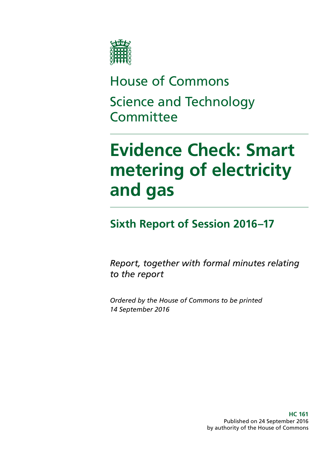

House of Commons Science and Technology **Committee** 

# **Evidence Check: Smart metering of electricity and gas**

### **Sixth Report of Session 2016–17**

*Report, together with formal minutes relating to the report*

*Ordered by the House of Commons to be printed 14 September 2016*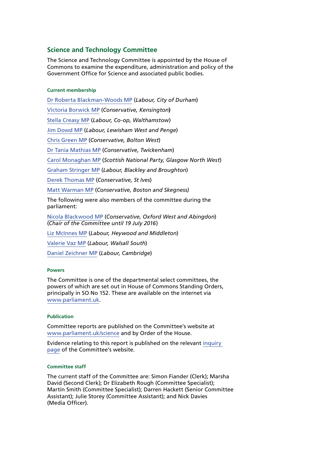#### **Science and Technology Committee**

The Science and Technology Committee is appointed by the House of Commons to examine the expenditure, administration and policy of the Government Office for Science and associated public bodies.

#### **Current membership**

[Dr Roberta Blackman-Woods MP](http://www.parliament.uk/biographies/commons/dr-roberta-blackman-woods/1501) (*Labour, City of Durham*) [Victoria Borwick MP](http://www.parliament.uk/biographies/commons/victoria-borwick/4502) (*Conservative, Kensington***)** [Stella Creasy MP](http://www.parliament.uk/biographies/commons/stella-creasy/4088) (*Labour, Co-op, Walthamstow*) [Jim Dowd MP](http://www.parliament.uk/biographies/commons/jim-dowd/189) (*Labour, Lewisham West and Penge*) [Chris Green MP](http://www.parliament.uk/biographies/commons/chris-green/4398) (*Conservative, Bolton West*) [Dr Tania Mathias MP](http://www.parliament.uk/biographies/commons/dr-tania-mathias/4404) (*Conservative, Twickenham*) [Carol Monaghan MP](http://www.parliament.uk/biographies/commons/carol-monaghan/4443) (*Scottish National Party, Glasgow North West*) [Graham Stringer MP](http://www.parliament.uk/biographies/commons/graham-stringer/449) (*Labour, Blackley and Broughton*) [Derek Thomas MP](http://www.parliament.uk/biographies/commons/derek-thomas/4532) (*Conservative, St Ives*) [Matt Warman MP](http://www.parliament.uk/biographies/commons/matt-warman/4361) (*Conservative, Boston and Skegness)* The following were also members of the committee during the parliament: [Nicola Blackwood MP](http://www.parliament.uk/biographies/commons/nicola-blackwood/4019) (*Conservative, Oxford West and Abingdon*) (*Chair of the Committee until 19 July 2016*) [Liz McInnes MP](http://www.parliament.uk/biographies/commons/liz-mcinnes/4342) (*Labour, Heywood and Middleton*) [Valerie Vaz MP](http://www.parliament.uk/biographies/commons/valerie-vaz/4076) (*Labour, Walsall South*) [Daniel Zeichner MP](http://www.parliament.uk/biographies/commons/daniel-zeichner/4382) (*Labour, Cambridge*)

#### **Powers**

The Committee is one of the departmental select committees, the powers of which are set out in House of Commons Standing Orders, principally in SO No 152. These are available on the internet via [www.parliament.uk](http://www.parliament.uk).

#### **Publication**

Committee reports are published on the Committee's website at [www.parliament.uk/science](http://www.parliament.uk/science) and by Order of the House.

Evidence relating to this report is published on the relevant [inquiry](http://www.parliament.uk/business/committees/committees-a-z/commons-select/science-and-technology-committee/inquiries/parliament-2015/smart-meters-inquiry-15-16/)  [page](http://www.parliament.uk/business/committees/committees-a-z/commons-select/science-and-technology-committee/inquiries/parliament-2015/smart-meters-inquiry-15-16/) of the Committee's website.

#### **Committee staff**

The current staff of the Committee are: Simon Fiander (Clerk); Marsha David (Second Clerk); Dr Elizabeth Rough (Committee Specialist); Martin Smith (Committee Specialist); Darren Hackett (Senior Committee Assistant); Julie Storey (Committee Assistant); and Nick Davies (Media Officer).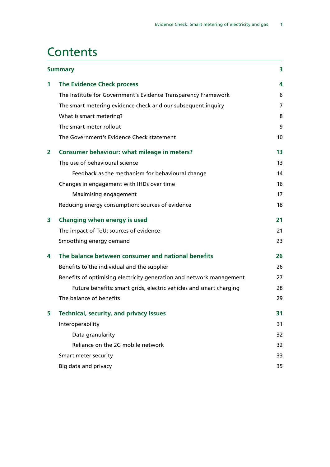### **Contents**

|                | <b>Summary</b>                                                       | 3  |
|----------------|----------------------------------------------------------------------|----|
| 1              | <b>The Evidence Check process</b>                                    | 4  |
|                | The Institute for Government's Evidence Transparency Framework       | 6  |
|                | The smart metering evidence check and our subsequent inquiry         | 7  |
|                | What is smart metering?                                              | 8  |
|                | The smart meter rollout                                              | 9  |
|                | The Government's Evidence Check statement                            | 10 |
| $\overline{2}$ | <b>Consumer behaviour: what mileage in meters?</b>                   | 13 |
|                | The use of behavioural science                                       | 13 |
|                | Feedback as the mechanism for behavioural change                     | 14 |
|                | Changes in engagement with IHDs over time                            | 16 |
|                | Maximising engagement                                                | 17 |
|                | Reducing energy consumption: sources of evidence                     | 18 |
| 3              | Changing when energy is used                                         | 21 |
|                | The impact of ToU: sources of evidence                               | 21 |
|                | Smoothing energy demand                                              | 23 |
| 4              | The balance between consumer and national benefits                   | 26 |
|                | Benefits to the individual and the supplier                          | 26 |
|                | Benefits of optimising electricity generation and network management | 27 |
|                | Future benefits: smart grids, electric vehicles and smart charging   | 28 |
|                | The balance of benefits                                              | 29 |
| 5              | <b>Technical, security, and privacy issues</b>                       | 31 |
|                | Interoperability                                                     | 31 |
|                | Data granularity                                                     | 32 |
|                | Reliance on the 2G mobile network                                    | 32 |
|                | Smart meter security                                                 | 33 |
|                | Big data and privacy                                                 | 35 |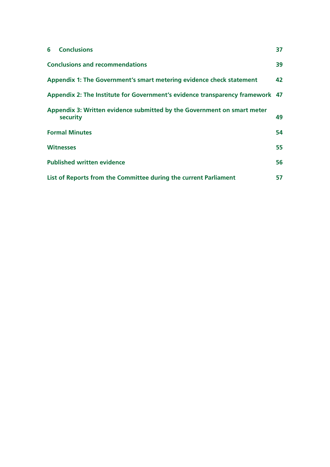| <b>Conclusions</b><br>6                                                             | 37 |
|-------------------------------------------------------------------------------------|----|
| <b>Conclusions and recommendations</b>                                              | 39 |
| Appendix 1: The Government's smart metering evidence check statement                | 42 |
| Appendix 2: The Institute for Government's evidence transparency framework 47       |    |
| Appendix 3: Written evidence submitted by the Government on smart meter<br>security | 49 |
| <b>Formal Minutes</b>                                                               | 54 |
| <b>Witnesses</b>                                                                    | 55 |
| <b>Published written evidence</b>                                                   | 56 |
| List of Reports from the Committee during the current Parliament                    | 57 |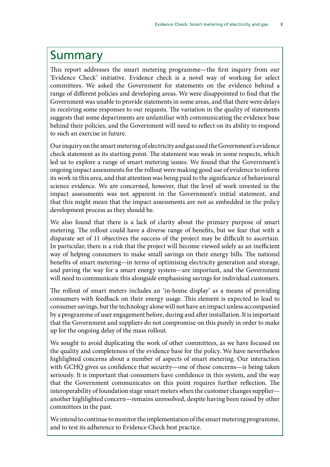### <span id="page-4-0"></span>Summary

This report addresses the smart metering programme—the first inquiry from our 'Evidence Check' initiative. Evidence check is a novel way of working for select committees. We asked the Government for statements on the evidence behind a range of different policies and developing areas. We were disappointed to find that the Government was unable to provide statements in some areas, and that there were delays in receiving some responses to our requests. The variation in the quality of statements suggests that some departments are unfamiliar with communicating the evidence base behind their policies, and the Government will need to reflect on its ability to respond to such an exercise in future.

Our inquiry on the smart metering of electricity and gas used the Government's evidence check statement as its starting point. The statement was weak in some respects, which led us to explore a range of smart metering issues. We found that the Government's ongoing impact assessments for the rollout were making good use of evidence to inform its work in this area, and that attention was being paid to the significance of behavioural science evidence. We are concerned, however, that the level of work invested in the impact assessments was not apparent in the Government's initial statement, and that this might mean that the impact assessments are not as embedded in the policy development process as they should be.

We also found that there is a lack of clarity about the primary purpose of smart metering. The rollout could have a diverse range of benefits, but we fear that with a disparate set of 11 objectives the success of the project may be difficult to ascertain. In particular, there is a risk that the project will become viewed solely as an inefficient way of helping consumers to make small savings on their energy bills. The national benefits of smart metering—in terms of optimising electricity generation and storage, and paving the way for a smart energy system—are important, and the Government will need to communicate this alongside emphasising savings for individual customers.

The rollout of smart meters includes an 'in-home display' as a means of providing consumers with feedback on their energy usage. This element is expected to lead to consumer savings, but the technology alone will not have an impact unless accompanied by a programme of user engagement before, during and after installation. It is important that the Government and suppliers do not compromise on this purely in order to make up for the ongoing delay of the mass rollout.

We sought to avoid duplicating the work of other committees, as we have focused on the quality and completeness of the evidence base for the policy. We have nevertheless highlighted concerns about a number of aspects of smart metering. Our interaction with GCHQ gives us confidence that security—one of these concerns—is being taken seriously. It is important that consumers have confidence in this system, and the way that the Government communicates on this point requires further reflection. The interoperability of foundation stage smart meters when the customer changes supplier another highlighted concern—remains unresolved, despite having been raised by other committees in the past.

We intend to continue to monitor the implementation of the smart metering programme, and to test its adherence to Evidence Check best practice.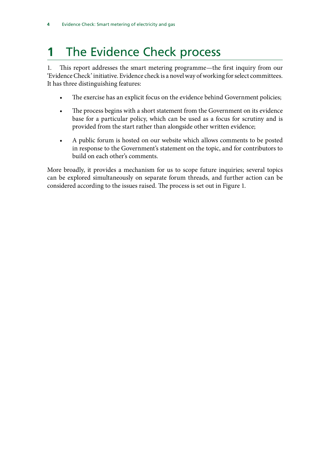## <span id="page-5-0"></span>**1** The Evidence Check process

1. This report addresses the smart metering programme—the first inquiry from our 'Evidence Check' initiative. Evidence check is a novel way of working for select committees. It has three distinguishing features:

- The exercise has an explicit focus on the evidence behind Government policies;
- The process begins with a short statement from the Government on its evidence base for a particular policy, which can be used as a focus for scrutiny and is provided from the start rather than alongside other written evidence;
- A public forum is hosted on our website which allows comments to be posted in response to the Government's statement on the topic, and for contributors to build on each other's comments.

More broadly, it provides a mechanism for us to scope future inquiries; several topics can be explored simultaneously on separate forum threads, and further action can be considered according to the issues raised. The process is set out in Figure 1.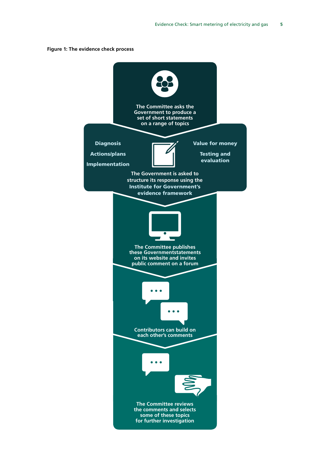

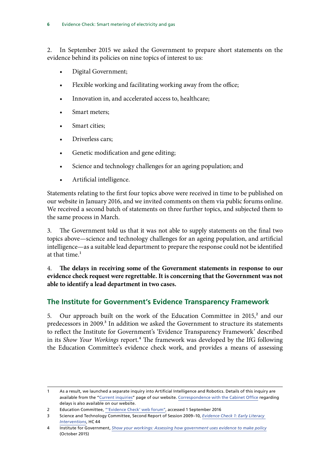<span id="page-7-0"></span>2. In September 2015 we asked the Government to prepare short statements on the evidence behind its policies on nine topics of interest to us:

- Digital Government;
- Flexible working and facilitating working away from the office;
- Innovation in, and accelerated access to, healthcare;
- Smart meters;
- Smart cities:
- Driverless cars;
- Genetic modification and gene editing;
- Science and technology challenges for an ageing population; and
- Artificial intelligence.

Statements relating to the first four topics above were received in time to be published on our website in January 2016, and we invited comments on them via public forums online. We received a second batch of statements on three further topics, and subjected them to the same process in March.

3. The Government told us that it was not able to supply statements on the final two topics above—science and technology challenges for an ageing population, and artificial intelligence—as a suitable lead department to prepare the response could not be identified at that time.<sup>1</sup>

4. The delays in receiving some of the Government statements in response to our **evidence check request were regrettable. It is concerning that the Government was not able to identify a lead department in two cases.**

### **The Institute for Government's Evidence Transparency Framework**

5. Our approach built on the work of the Education Committee in 2015,<sup>2</sup> and our predecessors in 2009.<sup>3</sup> In addition we asked the Government to structure its statements to reflect the Institute for Government's 'Evidence Transparency Framework' described in its *Show Your Workings* report.<sup>4</sup> The framework was developed by the IfG following the Education Committee's evidence check work, and provides a means of assessing

<sup>1</sup> As a result, we launched a separate inquiry into Artificial Intelligence and Robotics. Details of this inquiry are available from the ["Current inquiries](http://www.parliament.uk/business/committees/committees-a-z/commons-select/science-and-technology-committee/inquiries/parliament-2015/robotics-and-artificial-intelligence-inquiry-15-16/)" page of our website. [Correspondence with the Cabinet Office](http://www.parliament.uk/business/committees/committees-a-z/commons-select/science-and-technology-committee/publications/) regarding delays is also available on our website.

<sup>2</sup> Education Committee, ["'Evidence Check' web forum"](http://www.parliament.uk/business/committees/committees-a-z/commons-select/education-committee/dfe-evidence-check-forum/), accessed 1 September 2016

<sup>3</sup> Science and Technology Committee, Second Report of Session 2009–10, *[Evidence Check 1: Early Literacy](http://www.publications.parliament.uk/pa/cm200910/cmselect/cmsctech/44/44.pdf)  [Interventions](http://www.publications.parliament.uk/pa/cm200910/cmselect/cmsctech/44/44.pdf)*, HC 44

<sup>4</sup> Institute for Government, *[Show your workings: Assessing how government uses evidence to make policy](http://www.instituteforgovernment.org.uk/sites/default/files/publications/4545%20IFG%20-%20Showing%20your%20workings%20v8b.pdf)* (October 2015)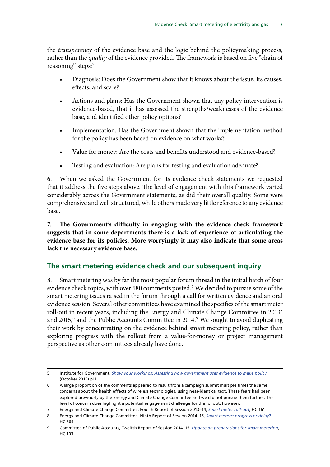<span id="page-8-0"></span>the *transparency* of the evidence base and the logic behind the policymaking process, rather than the *quality* of the evidence provided. The framework is based on five "chain of reasoning" steps:<sup>5</sup>

- Diagnosis: Does the Government show that it knows about the issue, its causes, effects, and scale?
- Actions and plans: Has the Government shown that any policy intervention is evidence-based, that it has assessed the strengths/weaknesses of the evidence base, and identified other policy options?
- Implementation: Has the Government shown that the implementation method for the policy has been based on evidence on what works?
- Value for money: Are the costs and benefits understood and evidence-based?
- Testing and evaluation: Are plans for testing and evaluation adequate?

6. When we asked the Government for its evidence check statements we requested that it address the five steps above. The level of engagement with this framework varied considerably across the Government statements, as did their overall quality. Some were comprehensive and well structured, while others made very little reference to any evidence base.

7. The Government's difficulty in engaging with the evidence check framework **suggests that in some departments there is a lack of experience of articulating the evidence base for its policies. More worryingly it may also indicate that some areas lack the necessary evidence base.**

#### **The smart metering evidence check and our subsequent inquiry**

8. Smart metering was by far the most popular forum thread in the initial batch of four evidence check topics, with over 580 comments posted.<sup>6</sup> We decided to pursue some of the smart metering issues raised in the forum through a call for written evidence and an oral evidence session. Several other committees have examined the specifics of the smart meter roll-out in recent years, including the Energy and Climate Change Committee in 2013<sup>7</sup> and 2015,<sup>8</sup> and the Public Accounts Committee in 2014.<sup>9</sup> We sought to avoid duplicating their work by concentrating on the evidence behind smart metering policy, rather than exploring progress with the rollout from a value-for-money or project management perspective as other committees already have done.

<sup>5</sup> Institute for Government, *[Show your workings: Assessing how government uses evidence to make policy](http://www.instituteforgovernment.org.uk/sites/default/files/publications/4545%20IFG%20-%20Showing%20your%20workings%20v8b.pdf)* (October 2015) p11

<sup>6</sup> A large proportion of the comments appeared to result from a campaign submit multiple times the same concerns about the health effects of wireless technologies, using near-identical text. These fears had been explored previously by the Energy and Climate Change Committee and we did not pursue them further. The level of concern does highlight a potential engagement challenge for the rollout, however.

<sup>7</sup> Energy and Climate Change Committee, Fourth Report of Session 2013–14, *[Smart meter roll-out](http://www.publications.parliament.uk/pa/cm201314/cmselect/cmenergy/161/161.pdf)*, HC 161

<sup>8</sup> Energy and Climate Change Committee, Ninth Report of Session 2014–15, *[Smart meters: progress or delay?](http://www.publications.parliament.uk/pa/cm201415/cmselect/cmenergy/665/665.pdf)*, HC 665

<sup>9</sup> Committee of Public Accounts, Twelfth Report of Session 2014–15, *[Update on preparations for smart metering](http://www.publications.parliament.uk/pa/cm201415/cmselect/cmpubacc/103/103.pdf)*, HC 103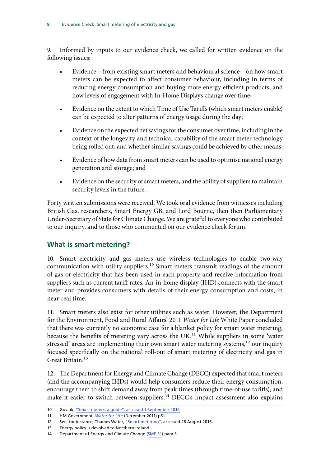<span id="page-9-0"></span>9. Informed by inputs to our evidence check, we called for written evidence on the following issues:

- Evidence—from existing smart meters and behavioural science—on how smart meters can be expected to affect consumer behaviour, including in terms of reducing energy consumption and buying more energy efficient products, and how levels of engagement with In-Home Displays change over time;
- Evidence on the extent to which Time of Use Tariffs (which smart meters enable) can be expected to alter patterns of energy usage during the day;
- Evidence on the expected net savings for the consumer over time, including in the context of the longevity and technical capability of the smart meter technology being rolled out, and whether similar savings could be achieved by other means;
- Evidence of how data from smart meters can be used to optimise national energy generation and storage; and
- Evidence on the security of smart meters, and the ability of suppliers to maintain security levels in the future.

Forty written submissions were received. We took oral evidence from witnesses including British Gas, researchers, Smart Energy GB, and Lord Bourne, then then Parliamentary Under-Secretary of State for Climate Change. We are grateful to everyone who contributed to our inquiry, and to those who commented on our evidence check forum.

### **What is smart metering?**

10. Smart electricity and gas meters use wireless technologies to enable two-way communication with utility suppliers.10 Smart meters transmit readings of the amount of gas or electricity that has been used in each property and receive information from suppliers such as current tariff rates. An-in-home display (IHD) connects with the smart meter and provides consumers with details of their energy consumption and costs, in near-real time.

11. Smart meters also exist for other utilities such as water. However, the Department for the Environment, Food and Rural Affairs' 2011 *Water for Life* White Paper concluded that there was currently no economic case for a blanket policy for smart water metering, because the benefits of metering vary across the UK.<sup>11</sup> While suppliers in some 'water stressed' areas are implementing their own smart water metering systems,<sup>12</sup> our inquiry focused specifically on the national roll-out of smart metering of electricity and gas in Great Britain.<sup>13</sup>

12. The Department for Energy and Climate Change (DECC) expected that smart meters (and the accompanying IHDs) would help consumers reduce their energy consumption, encourage them to shift demand away from peak times (through time-of-use tariffs), and make it easier to switch between suppliers.<sup>14</sup> DECC's impact assessment also explains

<sup>10</sup> Gov.uk, ["Smart meters: a guide"](https://www.gov.uk/guidance/smart-meters-how-they-work), accessed 1 September 2016

<sup>11</sup> HM Government, *[Water for Life](https://www.gov.uk/government/uploads/system/uploads/attachment_data/file/228861/8230.pdf)* (December 2011) p51

<sup>12</sup> See, for instance, Thames Water, ["Smart metering"](http://www.thameswater.co.uk/your-account/17386.htm), accessed 26 August 2016.

<sup>13</sup> Energy policy is devolved to Northern Ireland.

<sup>14</sup> Department of Energy and Climate Change ([SME 31](http://data.parliament.uk/writtenevidence/committeeevidence.svc/evidencedocument/science-and-technology-committee/smart-meters/written/32093.html)) para 3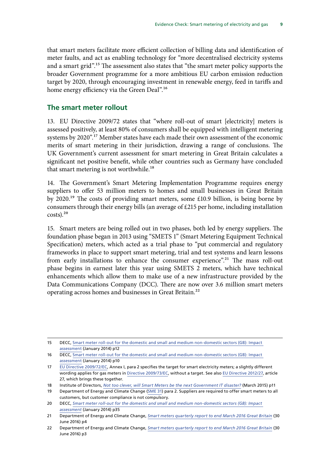<span id="page-10-0"></span>that smart meters facilitate more efficient collection of billing data and identification of meter faults, and act as enabling technology for "more decentralised electricity systems and a smart grid".15 The assessment also states that "the smart meter policy supports the broader Government programme for a more ambitious EU carbon emission reduction target by 2020, through encouraging investment in renewable energy, feed in tariffs and home energy efficiency via the Green Deal".<sup>16</sup>

#### **The smart meter rollout**

13. EU Directive 2009/72 states that "where roll-out of smart [electricity] meters is assessed positively, at least 80% of consumers shall be equipped with intelligent metering systems by 2020".<sup>17</sup> Member states have each made their own assessment of the economic merits of smart metering in their jurisdiction, drawing a range of conclusions. The UK Government's current assessment for smart metering in Great Britain calculates a significant net positive benefit, while other countries such as Germany have concluded that smart metering is not worthwhile.<sup>18</sup>

14. The Government's Smart Metering Implementation Programme requires energy suppliers to offer 53 million meters to homes and small businesses in Great Britain by 2020.19 The costs of providing smart meters, some £10.9 billion, is being borne by consumers through their energy bills (an average of £215 per home, including installation  $costs$ ).<sup>20</sup>

15. Smart meters are being rolled out in two phases, both led by energy suppliers. The foundation phase began in 2013 using "SMETS 1" (Smart Metering Equipment Technical Specification) meters, which acted as a trial phase to "put commercial and regulatory frameworks in place to support smart metering, trial and test systems and learn lessons from early installations to enhance the consumer experience".<sup>21</sup> The mass roll-out phase begins in earnest later this year using SMETS 2 meters, which have technical enhancements which allow them to make use of a new infrastructure provided by the Data Communications Company (DCC). There are now over 3.6 million smart meters operating across homes and businesses in Great Britain.22

<sup>15</sup> DECC, [Smart meter roll-out for the domestic and small and medium non-domestic sectors \(GB\): Impact](https://www.gov.uk/government/uploads/system/uploads/attachment_data/file/276656/smart_meter_roll_out_for_the_domestic_and_small_and_medium_and_non_domestic_sectors.pdf)  [assessment](https://www.gov.uk/government/uploads/system/uploads/attachment_data/file/276656/smart_meter_roll_out_for_the_domestic_and_small_and_medium_and_non_domestic_sectors.pdf) (January 2014) p12

<sup>16</sup> DECC, [Smart meter roll-out for the domestic and small and medium non-domestic sectors \(GB\): Impact](https://www.gov.uk/government/uploads/system/uploads/attachment_data/file/276656/smart_meter_roll_out_for_the_domestic_and_small_and_medium_and_non_domestic_sectors.pdf)  [assessment](https://www.gov.uk/government/uploads/system/uploads/attachment_data/file/276656/smart_meter_roll_out_for_the_domestic_and_small_and_medium_and_non_domestic_sectors.pdf) (January 2014) p10

<sup>17</sup> [EU Directive 2009/72/EC](http://eur-lex.europa.eu/legal-content/EN/TXT/HTML/?uri=CELEX:32009L0072&from=EN), Annex I, para 2 specifies the target for smart electricity meters; a slightly different wording applies for gas meters in [Directive 2009/73/EC](http://eur-lex.europa.eu/legal-content/EN/TXT/HTML/?uri=CELEX:32009L0073&from=EN), without a target. See also [EU Directive 2012/27](http://eur-lex.europa.eu/legal-content/EN/TXT/HTML/?uri=CELEX:32012L0027&from=EN), article 27, which brings these together.

<sup>18</sup> Institute of Directors, *[Not too clever, will Smart Meters be the next Government IT disaster?](http://www.pilotsystems.com/BetterMetering/IoD%20Smart%20meters%20report%20Final.pdf)* (March 2015) p11

<sup>19</sup> Department of Energy and Climate Change ([SME 31](http://data.parliament.uk/writtenevidence/committeeevidence.svc/evidencedocument/science-and-technology-committee/smart-meters/written/32093.html)) para 2. Suppliers are required to offer smart meters to all customers, but customer compliance is not compulsory.

<sup>20</sup> DECC, *[Smart meter roll-out for the domestic and small and medium non-domestic sectors \(GB\): Impact](https://www.gov.uk/government/uploads/system/uploads/attachment_data/file/276656/smart_meter_roll_out_for_the_domestic_and_small_and_medium_and_non_domestic_sectors.pdf)  [assessment](https://www.gov.uk/government/uploads/system/uploads/attachment_data/file/276656/smart_meter_roll_out_for_the_domestic_and_small_and_medium_and_non_domestic_sectors.pdf)* (January 2014) p35

<sup>21</sup> Department of Energy and Climate Change, *[Smart meters quarterly report to end March 2016 Great Britain](https://www.gov.uk/government/uploads/system/uploads/attachment_data/file/533060/2016_Q1_Smart_Meters_Report.pdf)* (30 June 2016) p4

<sup>22</sup> Department of Energy and Climate Change, *[Smart meters quarterly report to end March 2016 Great Britain](https://www.gov.uk/government/uploads/system/uploads/attachment_data/file/533060/2016_Q1_Smart_Meters_Report.pdf)* (30 June 2016) p3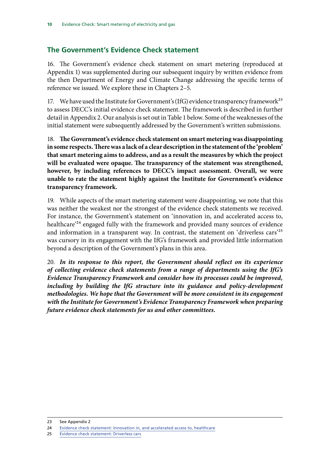### <span id="page-11-0"></span>**The Government's Evidence Check statement**

16. The Government's evidence check statement on smart metering (reproduced at Appendix 1) was supplemented during our subsequent inquiry by written evidence from the then Department of Energy and Climate Change addressing the specific terms of reference we issued. We explore these in Chapters 2–5.

17. We have used the Institute for Government's (IfG) evidence transparency framework<sup>23</sup> to assess DECC's initial evidence check statement. The framework is described in further detail in Appendix 2. Our analysis is set out in Table 1 below. Some of the weaknesses of the initial statement were subsequently addressed by the Government's written submissions.

18. **The Government's evidence check statement on smart metering was disappointing in some respects. There was a lack of a clear description in the statement of the 'problem' that smart metering aims to address, and as a result the measures by which the project will be evaluated were opaque. The transparency of the statement was strengthened, however, by including references to DECC's impact assessment. Overall, we were unable to rate the statement highly against the Institute for Government's evidence transparency framework.**

19. While aspects of the smart metering statement were disappointing, we note that this was neither the weakest nor the strongest of the evidence check statements we received. For instance, the Government's statement on 'innovation in, and accelerated access to, healthcare<sup>24</sup> engaged fully with the framework and provided many sources of evidence and information in a transparent way. In contrast, the statement on 'driverless cars'25 was cursory in its engagement with the IfG's framework and provided little information beyond a description of the Government's plans in this area.

20. *In its response to this report, the Government should reflect on its experience of collecting evidence check statements from a range of departments using the IfG's Evidence Transparency Framework and consider how its processes could be improved,*  including by building the IfG structure into its guidance and policy-development *methodologies. We hope that the Government will be more consistent in its engagement with the Institute for Government's Evidence Transparency Framework when preparing future evidence check statements for us and other committees.*

<sup>23</sup> See Appendix 2

<sup>24</sup> [Evidence check statement: Innovation in, and accelerated access to, healthcare](http://www.parliament.uk/documents/commons-committees/science-technology/evidence-tests/accelerated-access-to-healthcare.pdf)

<sup>25</sup> [Evidence check statement: Driverless cars](http://www.parliament.uk/documents/commons-committees/science-technology/evidence-tests/Driverless-cars.pdf)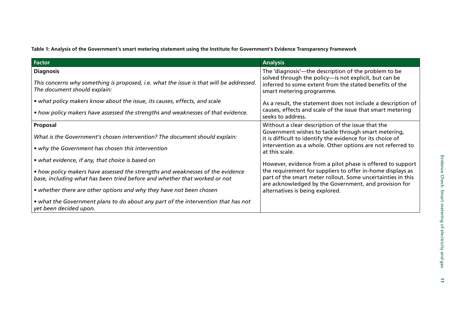**Table 1: Analysis of the Government's smart metering statement using the Institute for Government's Evidence Transparency Framework**

| <b>Factor</b>                                                                                                           | <b>Analysis</b>                                                                                                      |
|-------------------------------------------------------------------------------------------------------------------------|----------------------------------------------------------------------------------------------------------------------|
| <b>Diagnosis</b>                                                                                                        | The 'diagnosis'—the description of the problem to be<br>solved through the policy-is not explicit, but can be        |
| This concerns why something is proposed, i.e. what the issue is that will be addressed.<br>The document should explain: | inferred to some extent from the stated benefits of the<br>smart metering programme.                                 |
| • what policy makers know about the issue, its causes, effects, and scale                                               | As a result, the statement does not include a description of                                                         |
| • how policy makers have assessed the strengths and weaknesses of that evidence.                                        | causes, effects and scale of the issue that smart metering<br>seeks to address.                                      |
| Proposal                                                                                                                | Without a clear description of the issue that the                                                                    |
| What is the Government's chosen intervention? The document should explain:                                              | Government wishes to tackle through smart metering,<br>it is difficult to identify the evidence for its choice of    |
| • why the Government has chosen this intervention                                                                       | intervention as a whole. Other options are not referred to<br>at this scale.                                         |
| • what evidence, if any, that choice is based on                                                                        | However, evidence from a pilot phase is offered to support                                                           |
| • how policy makers have assessed the strengths and weaknesses of the evidence                                          | the requirement for suppliers to offer in-home displays as                                                           |
| base, including what has been tried before and whether that worked or not                                               | part of the smart meter rollout. Some uncertainties in this<br>are acknowledged by the Government, and provision for |
| • whether there are other options and why they have not been chosen                                                     | alternatives is being explored.                                                                                      |
| • what the Government plans to do about any part of the intervention that has not<br>yet been decided upon.             |                                                                                                                      |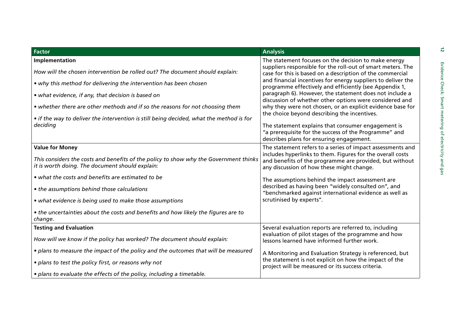| <b>Factor</b>                                                                                                                                                                                                                                                                                                                                                                                         | <b>Analysis</b>                                                                                                                                                                                                                                                                                                                                                                                                                                                                                                                                                                                                                                                                                                                                                                                                                       |  |
|-------------------------------------------------------------------------------------------------------------------------------------------------------------------------------------------------------------------------------------------------------------------------------------------------------------------------------------------------------------------------------------------------------|---------------------------------------------------------------------------------------------------------------------------------------------------------------------------------------------------------------------------------------------------------------------------------------------------------------------------------------------------------------------------------------------------------------------------------------------------------------------------------------------------------------------------------------------------------------------------------------------------------------------------------------------------------------------------------------------------------------------------------------------------------------------------------------------------------------------------------------|--|
| Implementation<br>How will the chosen intervention be rolled out? The document should explain:<br>• why this method for delivering the intervention has been chosen<br>• what evidence, if any, that decision is based on<br>• whether there are other methods and if so the reasons for not choosing them<br>• if the way to deliver the intervention is still being decided, what the method is for | The statement focuses on the decision to make energy<br>suppliers responsible for the roll-out of smart meters. The<br>case for this is based on a description of the commercial<br>and financial incentives for energy suppliers to deliver the<br>programme effectively and efficiently (see Appendix 1,<br>paragraph 6). However, the statement does not include a<br>discussion of whether other options were considered and<br>why they were not chosen, or an explicit evidence base for<br>the choice beyond describing the incentives.<br>The statement explains that consumer engagement is<br>"a prerequisite for the success of the Programme" and<br>describes plans for ensuring engagement.<br>The statement refers to a series of impact assessments and<br>includes hyperlinks to them. Figures for the overall costs |  |
| deciding                                                                                                                                                                                                                                                                                                                                                                                              |                                                                                                                                                                                                                                                                                                                                                                                                                                                                                                                                                                                                                                                                                                                                                                                                                                       |  |
| <b>Value for Money</b><br>This considers the costs and benefits of the policy to show why the Government thinks<br>it is worth doing. The document should explain:<br>• what the costs and benefits are estimated to be                                                                                                                                                                               | and benefits of the programme are provided, but without<br>any discussion of how these might change.<br>The assumptions behind the impact assessment are                                                                                                                                                                                                                                                                                                                                                                                                                                                                                                                                                                                                                                                                              |  |
| • the assumptions behind those calculations<br>• what evidence is being used to make those assumptions<br>• the uncertainties about the costs and benefits and how likely the figures are to<br>change.                                                                                                                                                                                               | described as having been "widely consulted on", and<br>"benchmarked against international evidence as well as<br>scrutinised by experts".                                                                                                                                                                                                                                                                                                                                                                                                                                                                                                                                                                                                                                                                                             |  |
| <b>Testing and Evaluation</b><br>How will we know if the policy has worked? The document should explain:<br>• plans to measure the impact of the policy and the outcomes that will be measured<br>• plans to test the policy first, or reasons why not                                                                                                                                                | Several evaluation reports are referred to, including<br>evaluation of pilot stages of the programme and how<br>lessons learned have informed further work.<br>A Monitoring and Evaluation Strategy is referenced, but<br>the statement is not explicit on how the impact of the                                                                                                                                                                                                                                                                                                                                                                                                                                                                                                                                                      |  |
| · plans to evaluate the effects of the policy, including a timetable.                                                                                                                                                                                                                                                                                                                                 | project will be measured or its success criteria.                                                                                                                                                                                                                                                                                                                                                                                                                                                                                                                                                                                                                                                                                                                                                                                     |  |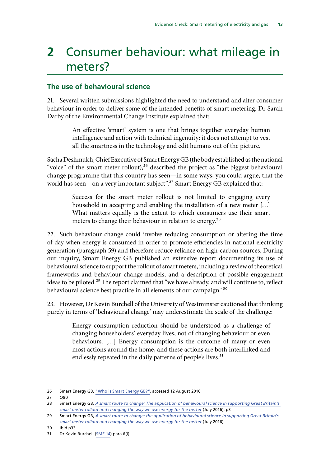## <span id="page-14-0"></span>**2** Consumer behaviour: what mileage in meters?

#### **The use of behavioural science**

21. Several written submissions highlighted the need to understand and alter consumer behaviour in order to deliver some of the intended benefits of smart metering. Dr Sarah Darby of the Environmental Change Institute explained that:

> An effective 'smart' system is one that brings together everyday human intelligence and action with technical ingenuity: it does not attempt to vest all the smartness in the technology and edit humans out of the picture.

Sacha Deshmukh, Chief Executive of Smart Energy GB (the body established as the national "voice" of the smart meter rollout),<sup>26</sup> described the project as "the biggest behavioural change programme that this country has seen—in some ways, you could argue, that the world has seen—on a very important subject".<sup>27</sup> Smart Energy GB explained that:

> Success for the smart meter rollout is not limited to engaging every household in accepting and enabling the installation of a new meter […] What matters equally is the extent to which consumers use their smart meters to change their behaviour in relation to energy.<sup>28</sup>

22. Such behaviour change could involve reducing consumption or altering the time of day when energy is consumed in order to promote efficiencies in national electricity generation (paragraph 59) and therefore reduce reliance on high-carbon sources. During our inquiry, Smart Energy GB published an extensive report documenting its use of behavioural science to support the rollout of smart meters, including a review of theoretical frameworks and behaviour change models, and a description of possible engagement ideas to be piloted.<sup>29</sup> The report claimed that "we have already, and will continue to, reflect behavioural science best practice in all elements of our campaign".<sup>30</sup>

23. However, Dr Kevin Burchell of the University of Westminster cautioned that thinking purely in terms of 'behavioural change' may underestimate the scale of the challenge:

> Energy consumption reduction should be understood as a challenge of changing householders' everyday lives, not of changing behaviour or even behaviours. […] Energy consumption is the outcome of many or even most actions around the home, and these actions are both interlinked and endlessly repeated in the daily patterns of people's lives.<sup>31</sup>

27 Q80

<sup>26</sup> Smart Energy GB, ["Who is Smart Energy GB?",](https://www.smartenergygb.org/en) accessed 12 August 2016

<sup>28</sup> Smart Energy GB, *[A smart route to change: The application of behavioural science in supporting Great Britain's](https://www.smartenergygb.org/en/~/media/SmartEnergy/essential-documents/press-resources/Documents/A-smart-route-to-change-2016.ashx)  [smart meter rollout and changing the way we use energy for the better](https://www.smartenergygb.org/en/~/media/SmartEnergy/essential-documents/press-resources/Documents/A-smart-route-to-change-2016.ashx)* (July 2016), p3

<sup>29</sup> Smart Energy GB, *[A smart route to change: the application of behavioural science in supporting Great Britain's](https://www.smartenergygb.org/en/~/media/SmartEnergy/essential-documents/press-resources/Documents/A-smart-route-to-change-2016.ashx)  [smart meter rollout and changing the way we use energy for the better](https://www.smartenergygb.org/en/~/media/SmartEnergy/essential-documents/press-resources/Documents/A-smart-route-to-change-2016.ashx)* (July 2016)

<sup>30</sup> Ibid p33

<sup>31</sup> Dr Kevin Burchell ([SME 14](http://data.parliament.uk/writtenevidence/committeeevidence.svc/evidencedocument/science-and-technology-committee/smart-meters/written/31913.html)) para 6(i)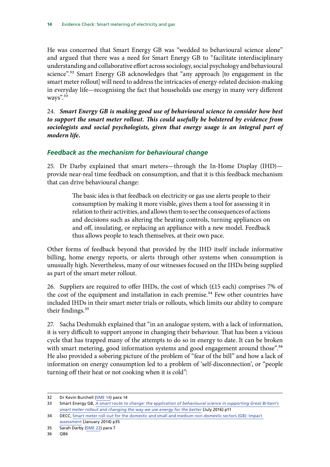<span id="page-15-0"></span>He was concerned that Smart Energy GB was "wedded to behavioural science alone" and argued that there was a need for Smart Energy GB to "facilitate interdisciplinary understanding and collaborative effort across sociology, social psychology and behavioural science".<sup>32</sup> Smart Energy GB acknowledges that "any approach [to engagement in the smart meter rollout] will need to address the intricacies of energy-related decision-making in everyday life—recognising the fact that households use energy in many very different ways".<sup>33</sup>

24. *Smart Energy GB is making good use of behavioural science to consider how best to support the smart meter rollout. This could usefully be bolstered by evidence from sociologists and social psychologists, given that energy usage is an integral part of modern life.*

#### *Feedback as the mechanism for behavioural change*

25. Dr Darby explained that smart meters—through the In-Home Display (IHD) provide near-real time feedback on consumption, and that it is this feedback mechanism that can drive behavioural change:

> The basic idea is that feedback on electricity or gas use alerts people to their consumption by making it more visible, gives them a tool for assessing it in relation to their activities, and allows them to see the consequences of actions and decisions such as altering the heating controls, turning appliances on and off, insulating, or replacing an appliance with a new model. Feedback thus allows people to teach themselves, at their own pace.

Other forms of feedback beyond that provided by the IHD itself include informative billing, home energy reports, or alerts through other systems when consumption is unusually high. Nevertheless, many of our witnesses focused on the IHDs being supplied as part of the smart meter rollout.

26. Suppliers are required to offer IHDs, the cost of which (£15 each) comprises 7% of the cost of the equipment and installation in each premise.<sup>34</sup> Few other countries have included IHDs in their smart meter trials or rollouts, which limits our ability to compare their findings.<sup>35</sup>

27. Sacha Deshmukh explained that "in an analogue system, with a lack of information, it is very difficult to support anyone in changing their behaviour. That has been a vicious cycle that has trapped many of the attempts to do so in energy to date. It can be broken with smart metering, good information systems and good engagement around those".<sup>36</sup> He also provided a sobering picture of the problem of "fear of the bill" and how a lack of information on energy consumption led to a problem of 'self-disconnection', or "people turning off their heat or not cooking when it is cold":

<sup>32</sup> Dr Kevin Burchell ([SME 14](http://data.parliament.uk/writtenevidence/committeeevidence.svc/evidencedocument/science-and-technology-committee/smart-meters/written/31913.html)) para 14

<sup>33</sup> Smart Energy GB, *[A smart route to change: the application of behavioural science in supporting Great Britain's](https://www.smartenergygb.org/en/~/media/SmartEnergy/essential-documents/press-resources/Documents/A-smart-route-to-change-2016.ashx)  [smart meter rollout and changing the way we use energy for the better](https://www.smartenergygb.org/en/~/media/SmartEnergy/essential-documents/press-resources/Documents/A-smart-route-to-change-2016.ashx)* (July 2016) p11

<sup>34</sup> DECC, [Smart meter roll-out for the domestic and small and medium non-domestic sectors \(GB\): Impact](https://www.gov.uk/government/uploads/system/uploads/attachment_data/file/276656/smart_meter_roll_out_for_the_domestic_and_small_and_medium_and_non_domestic_sectors.pdf)  [assessment](https://www.gov.uk/government/uploads/system/uploads/attachment_data/file/276656/smart_meter_roll_out_for_the_domestic_and_small_and_medium_and_non_domestic_sectors.pdf) (January 2014) p35

<sup>35</sup> Sarah Darby ([SME 22](http://data.parliament.uk/writtenevidence/committeeevidence.svc/evidencedocument/science-and-technology-committee/smart-meters/written/32026.html)) para 7

<sup>36</sup> Q86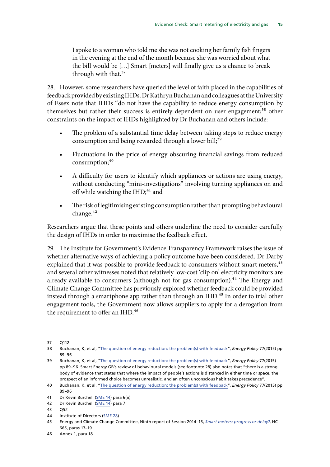I spoke to a woman who told me she was not cooking her family fish fingers in the evening at the end of the month because she was worried about what the bill would be […] Smart [meters] will finally give us a chance to break through with that.<sup>37</sup>

28. However, some researchers have queried the level of faith placed in the capabilities of feedback provided by existing IHDs. Dr Kathryn Buchanan and colleagues at the University of Essex note that IHDs "do not have the capability to reduce energy consumption by themselves but rather their success is entirely dependent on user engagement;<sup>38</sup> other constraints on the impact of IHDs highlighted by Dr Buchanan and others include:

- The problem of a substantial time delay between taking steps to reduce energy consumption and being rewarded through a lower bill;<sup>39</sup>
- Fluctuations in the price of energy obscuring financial savings from reduced consumption;<sup>40</sup>
- A difficulty for users to identify which appliances or actions are using energy, without conducting "mini-investigations" involving turning appliances on and off while watching the IHD;<sup>41</sup> and
- The risk of legitimising existing consumption rather than prompting behavioural change.<sup>42</sup>

Researchers argue that these points and others underline the need to consider carefully the design of IHDs in order to maximise the feedback effect.

29. The Institute for Government's Evidence Transparency Framework raises the issue of whether alternative ways of achieving a policy outcome have been considered. Dr Darby explained that it was possible to provide feedback to consumers without smart meters,<sup>43</sup> and several other witnesses noted that relatively low-cost 'clip on' electricity monitors are already available to consumers (although not for gas consumption).<sup>44</sup> The Energy and Climate Change Committee has previously explored whether feedback could be provided instead through a smartphone app rather than through an IHD.<sup>45</sup> In order to trial other engagement tools, the Government now allows suppliers to apply for a derogation from the requirement to offer an IHD.<sup>46</sup>

<sup>37 0112</sup> 

<sup>38</sup> Buchanan, K, et al, "[The question of energy reduction: the problem\(s\) with feedback"](http://www.sciencedirect.com/science/article/pii/S0301421514006739), *Energy Policy* 77(2015) pp 89–96

<sup>39</sup> Buchanan, K, et al, "[The question of energy reduction: the problem\(s\) with feedback"](http://www.sciencedirect.com/science/article/pii/S0301421514006739), *Energy Policy* 77(2015) pp 89–96. Smart Energy GB's review of behavioural models (see footnote 28) also notes that "there is a strong body of evidence that states that where the impact of people's actions is distanced in either time or space, the prospect of an informed choice becomes unrealistic, and an often unconscious habit takes precedence".

<sup>40</sup> Buchanan, K, et al, "[The question of energy reduction: the problem\(s\) with feedback"](http://www.sciencedirect.com/science/article/pii/S0301421514006739), *Energy Policy* 77(2015) pp 89–96

<sup>41</sup> Dr Kevin Burchell ([SME 14](http://data.parliament.uk/writtenevidence/committeeevidence.svc/evidencedocument/science-and-technology-committee/smart-meters/written/31913.html)) para 6(ii)

<sup>42</sup> Dr Kevin Burchell ([SME 14](http://data.parliament.uk/writtenevidence/committeeevidence.svc/evidencedocument/science-and-technology-committee/smart-meters/written/31913.html)) para 7

<sup>43</sup> Q52

<sup>44</sup> Institute of Directors ([SME 28](http://data.parliament.uk/writtenevidence/committeeevidence.svc/evidencedocument/science-and-technology-committee/smart-meters/written/32057.html))

<sup>45</sup> Energy and Climate Change Committee, Ninth report of Session 2014–15, *[Smart meters: progress or delay?](http://www.publications.parliament.uk/pa/cm201415/cmselect/cmenergy/665/665.pdf)*, HC 665, paras 17–19

<sup>46</sup> Annex 1, para 18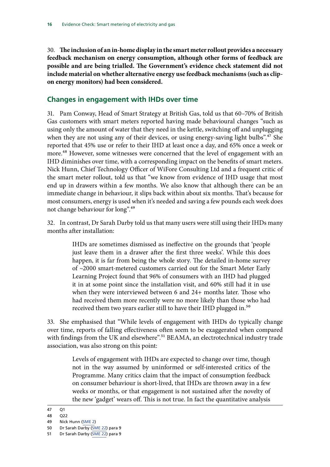<span id="page-17-0"></span>30. **The inclusion of an in-home display in the smart meter rollout provides a necessary feedback mechanism on energy consumption, although other forms of feedback are possible and are being trialled. The Government's evidence check statement did not include material on whether alternative energy use feedback mechanisms (such as clipon energy monitors) had been considered.**

#### **Changes in engagement with IHDs over time**

31. Pam Conway, Head of Smart Strategy at British Gas, told us that 60–70% of British Gas customers with smart meters reported having made behavioural changes "such as using only the amount of water that they need in the kettle, switching off and unplugging when they are not using any of their devices, or using energy-saving light bulbs".<sup>47</sup> She reported that 45% use or refer to their IHD at least once a day, and 65% once a week or more.<sup>48</sup> However, some witnesses were concerned that the level of engagement with an IHD diminishes over time, with a corresponding impact on the benefits of smart meters. Nick Hunn, Chief Technology Officer of WiFore Consulting Ltd and a frequent critic of the smart meter rollout, told us that "we know from evidence of IHD usage that most end up in drawers within a few months. We also know that although there can be an immediate change in behaviour, it slips back within about six months. That's because for most consumers, energy is used when it's needed and saving a few pounds each week does not change behaviour for long".49

32. In contrast, Dr Sarah Darby told us that many users were still using their IHDs many months after installation:

> IHDs are sometimes dismissed as ineffective on the grounds that 'people just leave them in a drawer after the first three weeks'. While this does happen, it is far from being the whole story. The detailed in-home survey of ~2000 smart-metered customers carried out for the Smart Meter Early Learning Project found that 96% of consumers with an IHD had plugged it in at some point since the installation visit, and 60% still had it in use when they were interviewed between 6 and 24+ months later. Those who had received them more recently were no more likely than those who had received them two years earlier still to have their IHD plugged in.<sup>50</sup>

33. She emphasised that "While levels of engagement with IHDs do typically change over time, reports of falling effectiveness often seem to be exaggerated when compared with findings from the UK and elsewhere".<sup>51</sup> BEAMA, an electrotechnical industry trade association, was also strong on this point:

> Levels of engagement with IHDs are expected to change over time, though not in the way assumed by uninformed or self-interested critics of the Programme. Many critics claim that the impact of consumption feedback on consumer behaviour is short-lived, that IHDs are thrown away in a few weeks or months, or that engagement is not sustained after the novelty of the new 'gadget' wears off. This is not true. In fact the quantitative analysis

<sup>47</sup> Q1

<sup>48</sup> Q22

<sup>49</sup> Nick Hunn [\(SME 2\)](http://data.parliament.uk/writtenevidence/committeeevidence.svc/evidencedocument/science-and-technology-committee/smart-meters/written/30836.html)

<sup>50</sup> Dr Sarah Darby [\(SME 22\)](http://data.parliament.uk/writtenevidence/committeeevidence.svc/evidencedocument/science-and-technology-committee/smart-meters/written/32026.html) para 9 51 Dr Sarah Darby [\(SME 22\)](http://data.parliament.uk/writtenevidence/committeeevidence.svc/evidencedocument/science-and-technology-committee/smart-meters/written/32026.html) para 9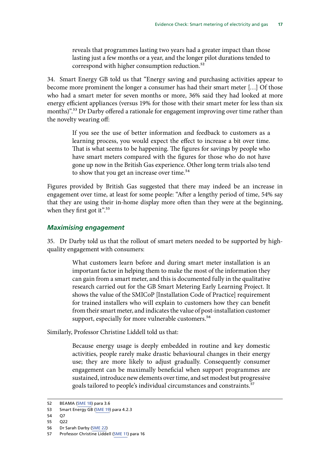<span id="page-18-0"></span>reveals that programmes lasting two years had a greater impact than those lasting just a few months or a year, and the longer pilot durations tended to correspond with higher consumption reduction.<sup>52</sup>

34. Smart Energy GB told us that "Energy saving and purchasing activities appear to become more prominent the longer a consumer has had their smart meter […] Of those who had a smart meter for seven months or more, 36% said they had looked at more energy efficient appliances (versus 19% for those with their smart meter for less than six months)".<sup>53</sup> Dr Darby offered a rationale for engagement improving over time rather than the novelty wearing off:

> If you see the use of better information and feedback to customers as a learning process, you would expect the effect to increase a bit over time. That is what seems to be happening. The figures for savings by people who have smart meters compared with the figures for those who do not have gone up now in the British Gas experience. Other long term trials also tend to show that you get an increase over time.<sup>54</sup>

Figures provided by British Gas suggested that there may indeed be an increase in engagement over time, at least for some people: "After a lengthy period of time, 54% say that they are using their in-home display more often than they were at the beginning, when they first got it".<sup>55</sup>

#### *Maximising engagement*

35. Dr Darby told us that the rollout of smart meters needed to be supported by highquality engagement with consumers:

> What customers learn before and during smart meter installation is an important factor in helping them to make the most of the information they can gain from a smart meter, and this is documented fully in the qualitative research carried out for the GB Smart Metering Early Learning Project. It shows the value of the SMICoP [Installation Code of Practice] requirement for trained installers who will explain to customers how they can benefit from their smart meter, and indicates the value of post-installation customer support, especially for more vulnerable customers.<sup>56</sup>

Similarly, Professor Christine Liddell told us that:

Because energy usage is deeply embedded in routine and key domestic activities, people rarely make drastic behavioural changes in their energy use; they are more likely to adjust gradually. Consequently consumer engagement can be maximally beneficial when support programmes are sustained, introduce new elements over time, and set modest but progressive goals tailored to people's individual circumstances and constraints.<sup>57</sup>

- 54 Q7
- 55 Q22

<sup>52</sup> BEAMA ([SME 18](http://data.parliament.uk/writtenevidence/committeeevidence.svc/evidencedocument/science-and-technology-committee/smart-meters/written/32016.html)) para 3.6

<sup>53</sup> Smart Energy GB [\(SME 19\)](http://data.parliament.uk/writtenevidence/committeeevidence.svc/evidencedocument/science-and-technology-committee/smart-meters/written/32020.html) para 4.2.3

<sup>56</sup> Dr Sarah Darby [\(SME 22\)](http://data.parliament.uk/writtenevidence/committeeevidence.svc/evidencedocument/science-and-technology-committee/smart-meters/written/32026.html)

<sup>57</sup> Professor Christine Liddell [\(SME 11](http://data.parliament.uk/writtenevidence/committeeevidence.svc/evidencedocument/science-and-technology-committee/smart-meters/written/31710.html)) para 16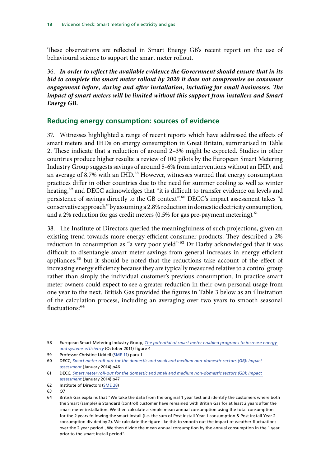<span id="page-19-0"></span>These observations are reflected in Smart Energy GB's recent report on the use of behavioural science to support the smart meter rollout.

36. *In order to reflect the available evidence the Government should ensure that in its*  bid to complete the smart meter rollout by 2020 it does not compromise on consumer *engagement before, during and after installation, including for small businesses. The impact of smart meters will be limited without this support from installers and Smart Energy GB.*

#### **Reducing energy consumption: sources of evidence**

37. Witnesses highlighted a range of recent reports which have addressed the effects of smart meters and IHDs on energy consumption in Great Britain, summarised in Table 2. These indicate that a reduction of around 2–3% might be expected. Studies in other countries produce higher results: a review of 100 pilots by the European Smart Metering Industry Group suggests savings of around 5-6% from interventions without an IHD, and an average of 8.7% with an IHD.<sup>58</sup> However, witnesses warned that energy consumption practices differ in other countries due to the need for summer cooling as well as winter heating,<sup>59</sup> and DECC acknowledges that "it is difficult to transfer evidence on levels and persistence of savings directly to the GB context".<sup>60</sup> DECC's impact assessment takes "a conservative approach" by assuming a 2.8% reduction in domestic electricity consumption, and a 2% reduction for gas credit meters  $(0.5\%$  for gas pre-payment metering).<sup>61</sup>

38. The Institute of Directors queried the meaningfulness of such projections, given an existing trend towards more energy efficient consumer products. They described a 2% reduction in consumption as "a very poor yield".<sup>62</sup> Dr Darby acknowledged that it was difficult to disentangle smart meter savings from general increases in energy efficient appliances,<sup>63</sup> but it should be noted that the reductions take account of the effect of increasing energy efficiency because they are typically measured relative to a control group rather than simply the individual customer's previous consumption. In practice smart meter owners could expect to see a greater reduction in their own personal usage from one year to the next. British Gas provided the figures in Table 3 below as an illustration of the calculation process, including an averaging over two years to smooth seasonal fluctuations:64

<sup>58</sup> European Smart Metering Industry Group, *[The potential of smart meter enabled programs to increase energy](http://esmig.eu/sites/default/files/2011.10.12_empower_demand_report_final.pdf)  [and systems efficiency](http://esmig.eu/sites/default/files/2011.10.12_empower_demand_report_final.pdf)* (October 2011) figure 4

<sup>59</sup> Professor Christine Liddell [\(SME 11](http://data.parliament.uk/writtenevidence/committeeevidence.svc/evidencedocument/science-and-technology-committee/smart-meters/written/31710.html)) para 1

<sup>60</sup> DECC, *[Smart meter roll-out for the domestic and small and medium non-domestic sectors \(GB\): Impact](https://www.gov.uk/government/uploads/system/uploads/attachment_data/file/276656/smart_meter_roll_out_for_the_domestic_and_small_and_medium_and_non_domestic_sectors.pdf)  [assessment](https://www.gov.uk/government/uploads/system/uploads/attachment_data/file/276656/smart_meter_roll_out_for_the_domestic_and_small_and_medium_and_non_domestic_sectors.pdf)* (January 2014) p46

<sup>61</sup> DECC, *[Smart meter roll-out for the domestic and small and medium non-domestic sectors \(GB\): Impact](https://www.gov.uk/government/uploads/system/uploads/attachment_data/file/276656/smart_meter_roll_out_for_the_domestic_and_small_and_medium_and_non_domestic_sectors.pdf)  [assessment](https://www.gov.uk/government/uploads/system/uploads/attachment_data/file/276656/smart_meter_roll_out_for_the_domestic_and_small_and_medium_and_non_domestic_sectors.pdf)* (January 2014) p47

<sup>62</sup> Institute of Directors ([SME 28](http://data.parliament.uk/writtenevidence/committeeevidence.svc/evidencedocument/science-and-technology-committee/smart-meters/written/32057.html))

<sup>63</sup> Q7

<sup>64</sup> British Gas explains that "We take the data from the original 1 year test and identify the customers where both the Smart (sample) & Standard (control) customer have remained with British Gas for at least 2 years after the smart meter installation. We then calculate a simple mean annual consumption using the total consumption for the 2 years following the smart install (i.e. the sum of Post install Year 1 consumption & Post install Year 2 consumption divided by 2). We calculate the figure like this to smooth out the impact of weather fluctuations over the 2 year period., We then divide the mean annual consumption by the annual consumption in the 1 year prior to the smart install period".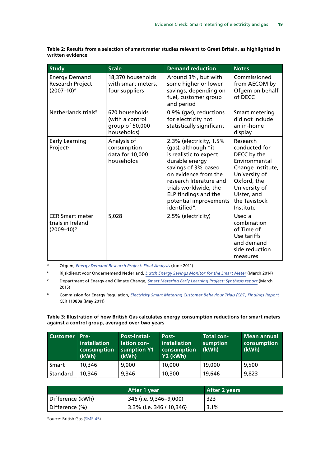**Table 2: Results from a selection of smart meter studies relevant to Great Britain, as highlighted in written evidence**

| <b>Study</b>                                                                                                                                                                                                                                                              | <b>Scale</b> | <b>Demand reduction</b>                                                                                                                                                                                        | <b>Notes</b>                                                                                                                                                                 |
|---------------------------------------------------------------------------------------------------------------------------------------------------------------------------------------------------------------------------------------------------------------------------|--------------|----------------------------------------------------------------------------------------------------------------------------------------------------------------------------------------------------------------|------------------------------------------------------------------------------------------------------------------------------------------------------------------------------|
| 18,370 households<br><b>Energy Demand</b><br>Research Project<br>with smart meters,<br>$(2007 - 10)^{A}$<br>four suppliers                                                                                                                                                |              | Around 3%, but with<br>some higher or lower<br>savings, depending on<br>fuel, customer group<br>and period                                                                                                     | Commissioned<br>from AECOM by<br>Ofgem on behalf<br>of DECC                                                                                                                  |
| Netherlands trials <sup>B</sup><br>670 households<br>for electricity not<br>(with a control<br>group of 50,000<br>households)<br>Early Learning<br>Analysis of<br>(gas), although "it<br>Project <sup>c</sup><br>consumption<br>data for 10,000<br>is realistic to expect |              | 0.9% (gas), reductions<br>statistically significant                                                                                                                                                            | Smart metering<br>did not include<br>an in-home<br>display                                                                                                                   |
|                                                                                                                                                                                                                                                                           | households   | 2.3% (electricity, 1.5%<br>durable energy<br>savings of 3% based<br>on evidence from the<br>research literature and<br>trials worldwide, the<br>ELP findings and the<br>potential improvements<br>identified". | Research<br>conducted for<br>DECC by the<br>Environmental<br>Change Institute,<br>University of<br>Oxford, the<br>University of<br>Ulster, and<br>the Tavistock<br>Institute |
| <b>CER Smart meter</b><br>trials in Ireland<br>$(2009 - 10)^{D}$                                                                                                                                                                                                          | 5,028        | 2.5% (electricity)                                                                                                                                                                                             | Used a<br>combination<br>of Time of<br>Use tariffs<br>and demand<br>side reduction<br>measures                                                                               |

<sup>A</sup> Ofgem, *[Energy Demand Research Project: Final Analysis](https://www.ofgem.gov.uk/ofgem-publications/59105/energy-demand-research-project-final-analysis.pdf)* (June 2011)

<sup>B</sup> Rijskdienst voor Ondernemend Nederland, *[Dutch Energy Savings Monitor for the Smart Meter](http://www.metering.com/wp-content/uploads/2014/06/Dutch-Smart-Meter-Energy-savings-Monitor-final-version.pdf)* (March 2014)

<sup>C</sup> Department of Energy and Climate Change, *[Smart Metering Early Learning Project: Synthesis report](https://www.gov.uk/government/uploads/system/uploads/attachment_data/file/407568/8_Synthesis_FINAL_25feb15.pdf)* (March 2015)

<sup>D</sup> Commission for Energy Regulation, *[Electricity Smart Metering Customer Behaviour Trials \(CBT\) Findings Report](http://www.cer.ie/docs/000340/cer11080(a)(i).pdf)* CER 11080a (May 2011)

**Table 3: Illustration of how British Gas calculates energy consumption reductions for smart meters against a control group, averaged over two years**

| <b>Customer</b> | Pre-<br>installation<br>consumption<br>(kWh) | Post-instal-<br>lation con-<br>sumption Y1<br>(kWh) | Post-<br>installation<br>consumption<br>Y2 (kWh) | <b>Total con-</b><br>sumption<br>(kWh) | Mean annual<br>consumption<br>(kWh) |
|-----------------|----------------------------------------------|-----------------------------------------------------|--------------------------------------------------|----------------------------------------|-------------------------------------|
| Smart           | 10,346                                       | 9,000                                               | 10,000                                           | 19,000                                 | 9,500                               |
| Standard        | 10,346                                       | 9,346                                               | 10,300                                           | 19,646                                 | 9,823                               |

|                  | After 1 year             | After 2 years |
|------------------|--------------------------|---------------|
| Difference (kWh) | 346 (i.e. 9,346–9,000)   | 323           |
| Difference (%)   | 3.3% (i.e. 346 / 10,346) | $3.1\%$       |

Source: British Gas [\(SME 45\)](http://data.parliament.uk/writtenevidence/committeeevidence.svc/evidencedocument/science-and-technology-committee/smart-meters/written/37835.html)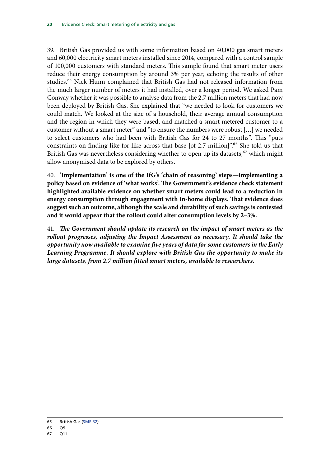39. British Gas provided us with some information based on 40,000 gas smart meters and 60,000 electricity smart meters installed since 2014, compared with a control sample of 100,000 customers with standard meters. This sample found that smart meter users reduce their energy consumption by around 3% per year, echoing the results of other studies.65 Nick Hunn complained that British Gas had not released information from the much larger number of meters it had installed, over a longer period. We asked Pam Conway whether it was possible to analyse data from the 2.7 million meters that had now been deployed by British Gas. She explained that "we needed to look for customers we could match. We looked at the size of a household, their average annual consumption and the region in which they were based, and matched a smart-metered customer to a customer without a smart meter" and "to ensure the numbers were robust […] we needed to select customers who had been with British Gas for 24 to 27 months". This "puts constraints on finding like for like across that base [of 2.7 million]".<sup>66</sup> She told us that British Gas was nevertheless considering whether to open up its datasets,<sup>67</sup> which might allow anonymised data to be explored by others.

40. **'Implementation' is one of the IfG's 'chain of reasoning' steps—implementing a policy based on evidence of 'what works'. The Government's evidence check statement highlighted available evidence on whether smart meters could lead to a reduction in energy consumption through engagement with in-home displays. That evidence does suggest such an outcome, although the scale and durability of such savings is contested and it would appear that the rollout could alter consumption levels by 2–3%.**

41. *The Government should update its research on the impact of smart meters as the*  rollout progresses, adjusting the Impact Assessment as necessary. It should take the *opportunity now available to examine five years of data for some customers in the Early Learning Programme. It should explore with British Gas the opportunity to make its large datasets, from 2.7 million fitted smart meters, available to researchers.*

<sup>65</sup> British Gas ([SME 32\)](http://data.parliament.uk/writtenevidence/committeeevidence.svc/evidencedocument/science-and-technology-committee/smart-meters/written/32146.html)

<sup>66</sup> Q9

<sup>67</sup> Q11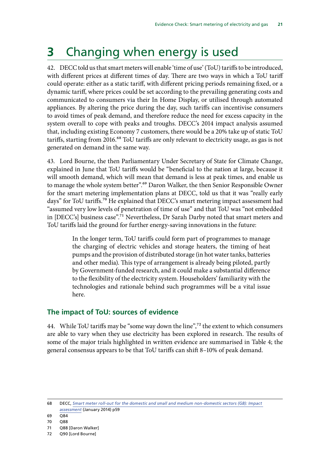## <span id="page-22-0"></span>**3** Changing when energy is used

42. DECC told us that smart meters will enable 'time of use' (ToU) tariffs to be introduced, with different prices at different times of day. There are two ways in which a ToU tariff could operate: either as a static tariff, with different pricing periods remaining fixed, or a dynamic tariff, where prices could be set according to the prevailing generating costs and communicated to consumers via their In Home Display, or utilised through automated appliances. By altering the price during the day, such tariffs can incentivise consumers to avoid times of peak demand, and therefore reduce the need for excess capacity in the system overall to cope with peaks and troughs. DECC's 2014 impact analysis assumed that, including existing Economy 7 customers, there would be a 20% take up of static ToU tariffs, starting from 2016.<sup>68</sup> ToU tariffs are only relevant to electricity usage, as gas is not generated on demand in the same way.

43. Lord Bourne, the then Parliamentary Under Secretary of State for Climate Change, explained in June that ToU tariffs would be "beneficial to the nation at large, because it will smooth demand, which will mean that demand is less at peak times, and enable us to manage the whole system better".<sup>69</sup> Daron Walker, the then Senior Responsible Owner for the smart metering implementation plans at DECC, told us that it was "really early days" for ToU tariffs.<sup>70</sup> He explained that DECC's smart metering impact assessment had "assumed very low levels of penetration of time of use" and that ToU was "not embedded in [DECC's] business case".71 Nevertheless, Dr Sarah Darby noted that smart meters and ToU tariffs laid the ground for further energy-saving innovations in the future:

> In the longer term, ToU tariffs could form part of programmes to manage the charging of electric vehicles and storage heaters, the timing of heat pumps and the provision of distributed storage (in hot water tanks, batteries and other media). This type of arrangement is already being piloted, partly by Government-funded research, and it could make a substantial difference to the flexibility of the electricity system. Householders' familiarity with the technologies and rationale behind such programmes will be a vital issue here.

#### **The impact of ToU: sources of evidence**

44. While ToU tariffs may be "some way down the line",<sup>72</sup> the extent to which consumers are able to vary when they use electricity has been explored in research. The results of some of the major trials highlighted in written evidence are summarised in Table 4; the general consensus appears to be that ToU tariffs can shift 8–10% of peak demand.

68 DECC, *[Smart meter roll-out for the domestic and small and medium non-domestic sectors \(GB\): Impact](https://www.gov.uk/government/uploads/system/uploads/attachment_data/file/276656/smart_meter_roll_out_for_the_domestic_and_small_and_medium_and_non_domestic_sectors.pdf)  [assessment](https://www.gov.uk/government/uploads/system/uploads/attachment_data/file/276656/smart_meter_roll_out_for_the_domestic_and_small_and_medium_and_non_domestic_sectors.pdf)* (January 2014) p59

 $69 \overline{084}$ 

<sup>70</sup> Q88

<sup>71</sup> Q88 [Daron Walker]

<sup>72</sup> Q90 [Lord Bourne]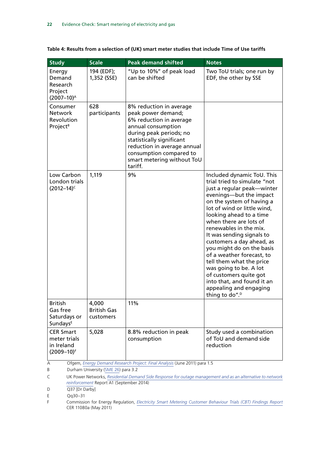|  | Table 4: Results from a selection of (UK) smart meter studies that include Time of Use tariffs |  |
|--|------------------------------------------------------------------------------------------------|--|
|--|------------------------------------------------------------------------------------------------|--|

| <b>Study</b>                                                                                                                | <b>Scale</b>                             | <b>Peak demand shifted</b>                                                                                                                                                                                                                                | <b>Notes</b>                                                                                                                                                                                                                                                                                                                                                                                                                                                                                                                                             |  |  |  |
|-----------------------------------------------------------------------------------------------------------------------------|------------------------------------------|-----------------------------------------------------------------------------------------------------------------------------------------------------------------------------------------------------------------------------------------------------------|----------------------------------------------------------------------------------------------------------------------------------------------------------------------------------------------------------------------------------------------------------------------------------------------------------------------------------------------------------------------------------------------------------------------------------------------------------------------------------------------------------------------------------------------------------|--|--|--|
| Energy<br>Demand<br>Research<br>Project<br>$(2007 - 10)^{A}$                                                                | 194 (EDF);<br>1,352 (SSE)                | "Up to 10%" of peak load<br>can be shifted                                                                                                                                                                                                                | Two ToU trials; one run by<br>EDF, the other by SSE                                                                                                                                                                                                                                                                                                                                                                                                                                                                                                      |  |  |  |
| Consumer<br><b>Network</b><br>Revolution<br>Project <sup>B</sup>                                                            | 628<br>participants                      | 8% reduction in average<br>peak power demand;<br>6% reduction in average<br>annual consumption<br>during peak periods; no<br>statistically significant<br>reduction in average annual<br>consumption compared to<br>smart metering without ToU<br>tariff. |                                                                                                                                                                                                                                                                                                                                                                                                                                                                                                                                                          |  |  |  |
| Low Carbon<br>London trials<br>$(2012 - 14)^c$                                                                              | 1,119                                    | 9%                                                                                                                                                                                                                                                        | Included dynamic ToU. This<br>trial tried to simulate "not<br>just a regular peak-winter<br>evenings-but the impact<br>on the system of having a<br>lot of wind or little wind,<br>looking ahead to a time<br>when there are lots of<br>renewables in the mix.<br>It was sending signals to<br>customers a day ahead, as<br>you might do on the basis<br>of a weather forecast, to<br>tell them what the price<br>was going to be. A lot<br>of customers quite got<br>into that, and found it an<br>appealing and engaging<br>thing to do". <sup>D</sup> |  |  |  |
| <b>British</b><br>Gas free<br>Saturdays or<br>Sundays <sup>E</sup>                                                          | 4.000<br><b>British Gas</b><br>customers | 11%                                                                                                                                                                                                                                                       |                                                                                                                                                                                                                                                                                                                                                                                                                                                                                                                                                          |  |  |  |
| <b>CER Smart</b><br>meter trials<br>in Ireland<br>$(2009 - 10)^F$                                                           | 5,028                                    | 8.8% reduction in peak<br>consumption                                                                                                                                                                                                                     | Study used a combination<br>of ToU and demand side<br>reduction                                                                                                                                                                                                                                                                                                                                                                                                                                                                                          |  |  |  |
| Ofgem, Energy Demand Research Project: Final Analysis (June 2011) para 1.5<br>Α<br>Durham University (SME 26) para 3.2<br>Β |                                          |                                                                                                                                                                                                                                                           |                                                                                                                                                                                                                                                                                                                                                                                                                                                                                                                                                          |  |  |  |

C UK Power Networks, *[Residential Demand Side Response for outage management and as an alternative to network](http://innovation.ukpowernetworks.co.uk/innovation/en/Projects/tier-2-projects/Low-Carbon-London-(LCL)/Project-Documents/LCL%20Learning%20Report%20-%20A1%20-%20Residential%20Demand%20Side%20Response%20for%20outage%20management%20and%20as%20an%20alternative%20to%20network%20reinforcement.pdf) [reinforcement](http://innovation.ukpowernetworks.co.uk/innovation/en/Projects/tier-2-projects/Low-Carbon-London-(LCL)/Project-Documents/LCL%20Learning%20Report%20-%20A1%20-%20Residential%20Demand%20Side%20Response%20for%20outage%20management%20and%20as%20an%20alternative%20to%20network%20reinforcement.pdf)* Report A1 (September 2014)

D Q37 [Dr Darby]

E Qq30–31

F Commission for Energy Regulation, *[Electricity Smart Metering Customer Behaviour Trials \(CBT\) Findings Report](http://www.cer.ie/docs/000340/cer11080(a)(i).pdf)* CER 11080a (May 2011)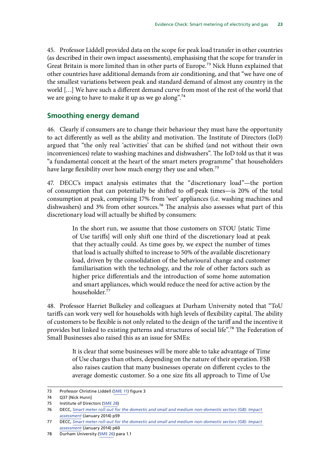<span id="page-24-0"></span>45. Professor Liddell provided data on the scope for peak load transfer in other countries (as described in their own impact assessments), emphasising that the scope for transfer in Great Britain is more limited than in other parts of Europe.<sup>73</sup> Nick Hunn explained that other countries have additional demands from air conditioning, and that "we have one of the smallest variations between peak and standard demand of almost any country in the world […] We have such a different demand curve from most of the rest of the world that we are going to have to make it up as we go along".<sup>74</sup>

#### **Smoothing energy demand**

46. Clearly if consumers are to change their behaviour they must have the opportunity to act differently as well as the ability and motivation. The Institute of Directors (IoD) argued that "the only real 'activities' that can be shifted (and not without their own inconveniences) relate to washing machines and dishwashers". The IoD told us that it was "a fundamental conceit at the heart of the smart meters programme" that householders have large flexibility over how much energy they use and when.<sup>75</sup>

47. DECC's impact analysis estimates that the "discretionary load"—the portion of consumption that can potentially be shifted to off-peak times—is 20% of the total consumption at peak, comprising 17% from 'wet' appliances (i.e. washing machines and dishwashers) and 3% from other sources.<sup>76</sup> The analysis also assesses what part of this discretionary load will actually be shifted by consumers:

> In the short run, we assume that those customers on STOU [static Time of Use tariffs] will only shift one third of the discretionary load at peak that they actually could. As time goes by, we expect the number of times that load is actually shifted to increase to 50% of the available discretionary load, driven by the consolidation of the behavioural change and customer familiarisation with the technology, and the role of other factors such as higher price differentials and the introduction of some home automation and smart appliances, which would reduce the need for active action by the householder.77

48. Professor Harriet Bulkeley and colleagues at Durham University noted that "ToU tariffs can work very well for households with high levels of flexibility capital. The ability of customers to be flexible is not only related to the design of the tariff and the incentive it provides but linked to existing patterns and structures of social life".<sup>78</sup> The Federation of Small Businesses also raised this as an issue for SMEs:

> It is clear that some businesses will be more able to take advantage of Time of Use charges than others, depending on the nature of their operation. FSB also raises caution that many businesses operate on different cycles to the average domestic customer. So a one size fits all approach to Time of Use

<sup>73</sup> Professor Christine Liddell [\(SME 11](http://data.parliament.uk/writtenevidence/committeeevidence.svc/evidencedocument/science-and-technology-committee/smart-meters/written/31710.html)) figure 3

<sup>74</sup> Q37 [Nick Hunn]

<sup>75</sup> Institute of Directors ([SME 28](http://data.parliament.uk/writtenevidence/committeeevidence.svc/evidencedocument/science-and-technology-committee/smart-meters/written/32057.html))

<sup>76</sup> DECC, *[Smart meter roll-out for the domestic and small and medium non-domestic sectors \(GB\): Impact](https://www.gov.uk/government/uploads/system/uploads/attachment_data/file/276656/smart_meter_roll_out_for_the_domestic_and_small_and_medium_and_non_domestic_sectors.pdf)  [assessment](https://www.gov.uk/government/uploads/system/uploads/attachment_data/file/276656/smart_meter_roll_out_for_the_domestic_and_small_and_medium_and_non_domestic_sectors.pdf)* (January 2014) p59

<sup>77</sup> DECC, *[Smart meter roll-out for the domestic and small and medium non-domestic sectors \(GB\): Impact](https://www.gov.uk/government/uploads/system/uploads/attachment_data/file/276656/smart_meter_roll_out_for_the_domestic_and_small_and_medium_and_non_domestic_sectors.pdf)  [assessment](https://www.gov.uk/government/uploads/system/uploads/attachment_data/file/276656/smart_meter_roll_out_for_the_domestic_and_small_and_medium_and_non_domestic_sectors.pdf)* (January 2014) p60

<sup>78</sup> Durham University [\(SME 26\)](http://data.parliament.uk/writtenevidence/committeeevidence.svc/evidencedocument/science-and-technology-committee/smart-meters/written/32049.html) para 1.1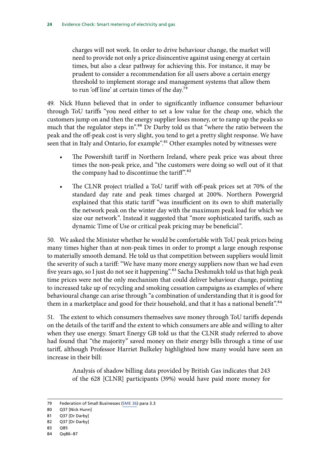charges will not work. In order to drive behaviour change, the market will need to provide not only a price disincentive against using energy at certain times, but also a clear pathway for achieving this. For instance, it may be prudent to consider a recommendation for all users above a certain energy threshold to implement storage and management systems that allow them to run 'off line' at certain times of the day.79

49. Nick Hunn believed that in order to significantly influence consumer behaviour through ToU tariffs "you need either to set a low value for the cheap one, which the customers jump on and then the energy supplier loses money, or to ramp up the peaks so much that the regulator steps in".80 Dr Darby told us that "where the ratio between the peak and the off-peak cost is very slight, you tend to get a pretty slight response. We have seen that in Italy and Ontario, for example<sup>".81</sup> Other examples noted by witnesses were

- The Powershift tariff in Northern Ireland, where peak price was about three times the non-peak price, and "the customers were doing so well out of it that the company had to discontinue the tariff".82
- The CLNR project trialled a ToU tariff with off-peak prices set at 70% of the standard day rate and peak times charged at 200%. Northern Powergrid explained that this static tariff "was insufficient on its own to shift materially the network peak on the winter day with the maximum peak load for which we size our network". Instead it suggested that "more sophisticated tariffs, such as dynamic Time of Use or critical peak pricing may be beneficial".

50. We asked the Minister whether he would be comfortable with ToU peak prices being many times higher than at non-peak times in order to prompt a large enough response to materially smooth demand. He told us that competition between suppliers would limit the severity of such a tariff: "We have many more energy suppliers now than we had even five years ago, so I just do not see it happening".<sup>83</sup> Sacha Deshmukh told us that high peak time prices were not the only mechanism that could deliver behaviour change, pointing to increased take up of recycling and smoking cessation campaigns as examples of where behavioural change can arise through "a combination of understanding that it is good for them in a marketplace and good for their household, and that it has a national benefit".<sup>84</sup>

51. The extent to which consumers themselves save money through ToU tariffs depends on the details of the tariff and the extent to which consumers are able and willing to alter when they use energy. Smart Energy GB told us that the CLNR study referred to above had found that "the majority" saved money on their energy bills through a time of use tariff, although Professor Harriet Bulkeley highlighted how many would have seen an increase in their bill:

> Analysis of shadow billing data provided by British Gas indicates that 243 of the 628 [CLNR] participants (39%) would have paid more money for

<sup>79</sup> Federation of Small Businesses [\(SME 36](http://data.parliament.uk/writtenevidence/committeeevidence.svc/evidencedocument/science-and-technology-committee/smart-meters/written/32273.html)) para 3.3

<sup>80</sup> Q37 [Nick Hunn]

<sup>81</sup> Q37 [Dr Darby]

<sup>82</sup> Q37 [Dr Darby]

<sup>83</sup> Q85

<sup>84</sup> Qq86–87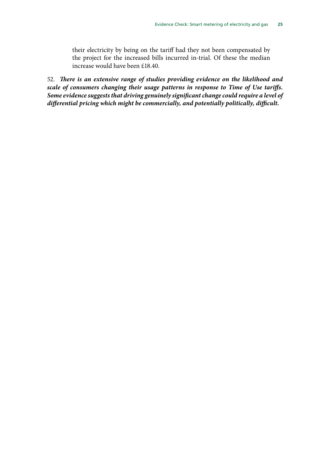their electricity by being on the tariff had they not been compensated by the project for the increased bills incurred in-trial. Of these the median increase would have been £18.40.

52. *There is an extensive range of studies providing evidence on the likelihood and scale of consumers changing their usage patterns in response to Time of Use tariffs. Some evidence suggests that driving genuinely significant change could require a level of differential pricing which might be commercially, and potentially politically, difficult.*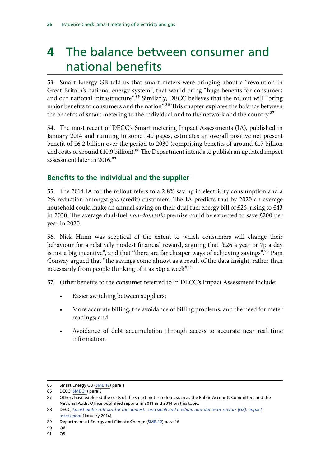## <span id="page-27-0"></span>**4** The balance between consumer and national benefits

53. Smart Energy GB told us that smart meters were bringing about a "revolution in Great Britain's national energy system", that would bring "huge benefits for consumers and our national infrastructure".<sup>85</sup> Similarly, DECC believes that the rollout will "bring major benefits to consumers and the nation".<sup>86</sup> This chapter explores the balance between the benefits of smart metering to the individual and to the network and the country.<sup>87</sup>

54. The most recent of DECC's Smart metering Impact Assessments (IA), published in January 2014 and running to some 140 pages, estimates an overall positive net present benefit of £6.2 billion over the period to 2030 (comprising benefits of around £17 billion and costs of around £10.9 billion).<sup>88</sup> The Department intends to publish an updated impact assessment later in 2016.<sup>89</sup>

### **Benefits to the individual and the supplier**

55. The 2014 IA for the rollout refers to a 2.8% saving in electricity consumption and a 2% reduction amongst gas (credit) customers. The IA predicts that by 2020 an average household could make an annual saving on their dual fuel energy bill of £26, rising to £43 in 2030. The average dual-fuel *non-domestic* premise could be expected to save £200 per year in 2020.

56. Nick Hunn was sceptical of the extent to which consumers will change their behaviour for a relatively modest financial reward, arguing that "£26 a year or 7p a day is not a big incentive", and that "there are far cheaper ways of achieving savings".<sup>90</sup> Pam Conway argued that "the savings come almost as a result of the data insight, rather than necessarily from people thinking of it as 50p a week".<sup>91</sup>

57. Other benefits to the consumer referred to in DECC's Impact Assessment include:

- Easier switching between suppliers;
- More accurate billing, the avoidance of billing problems, and the need for meter readings; and
- Avoidance of debt accumulation through access to accurate near real time information.

<sup>85</sup> Smart Energy GB [\(SME 19\)](http://data.parliament.uk/writtenevidence/committeeevidence.svc/evidencedocument/science-and-technology-committee/smart-meters/written/32020.html) para 1

<sup>86</sup> DECC [\(SME 31](http://data.parliament.uk/writtenevidence/committeeevidence.svc/evidencedocument/science-and-technology-committee/smart-meters/written/32093.html)) para 3

<sup>87</sup> Others have explored the costs of the smart meter rollout, such as the Public Accounts Committee, and the National Audit Office published reports in 2011 and 2014 on this topic.

<sup>88</sup> DECC, *[Smart meter roll-out for the domestic and small and medium non-domestic sectors \(GB\): Impact](https://www.gov.uk/government/uploads/system/uploads/attachment_data/file/276656/smart_meter_roll_out_for_the_domestic_and_small_and_medium_and_non_domestic_sectors.pdf)  [assessment](https://www.gov.uk/government/uploads/system/uploads/attachment_data/file/276656/smart_meter_roll_out_for_the_domestic_and_small_and_medium_and_non_domestic_sectors.pdf)* (January 2014)

<sup>89</sup> Department of Energy and Climate Change ([SME 42\)](http://data.parliament.uk/writtenevidence/committeeevidence.svc/evidencedocument/science-and-technology-committee/smart-meters/written/34284.html) para 16

<sup>90</sup> Q6

<sup>91</sup> Q5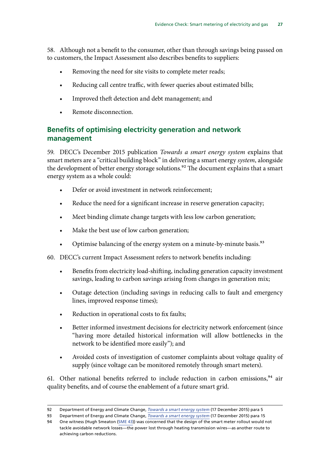<span id="page-28-0"></span>58. Although not a benefit to the consumer, other than through savings being passed on to customers, the Impact Assessment also describes benefits to suppliers:

- Removing the need for site visits to complete meter reads;
- Reducing call centre traffic, with fewer queries about estimated bills;
- Improved theft detection and debt management; and
- Remote disconnection.

#### **Benefits of optimising electricity generation and network management**

59. DECC's December 2015 publication *Towards a smart energy system* explains that smart meters are a "critical building block" in delivering a smart energy *system*, alongside the development of better energy storage solutions.<sup>92</sup> The document explains that a smart energy system as a whole could:

- Defer or avoid investment in network reinforcement;
- Reduce the need for a significant increase in reserve generation capacity;
- Meet binding climate change targets with less low carbon generation;
- Make the best use of low carbon generation;
- Optimise balancing of the energy system on a minute-by-minute basis.<sup>93</sup>
- 60. DECC's current Impact Assessment refers to network benefits including:
	- Benefits from electricity load-shifting, including generation capacity investment savings, leading to carbon savings arising from changes in generation mix;
	- Outage detection (including savings in reducing calls to fault and emergency lines, improved response times);
	- Reduction in operational costs to fix faults;
	- Better informed investment decisions for electricity network enforcement (since "having more detailed historical information will allow bottlenecks in the network to be identified more easily"); and
	- Avoided costs of investigation of customer complaints about voltage quality of supply (since voltage can be monitored remotely through smart meters).

61. Other national benefits referred to include reduction in carbon emissions,  $94$  air quality benefits, and of course the enablement of a future smart grid.

<sup>92</sup> Department of Energy and Climate Change, *[Towards a smart energy system](https://www.gov.uk/government/uploads/system/uploads/attachment_data/file/486362/Towards_a_smart_energy_system.pdf)* (17 December 2015) para 5

<sup>93</sup> Department of Energy and Climate Change, *[Towards a smart energy system](https://www.gov.uk/government/uploads/system/uploads/attachment_data/file/486362/Towards_a_smart_energy_system.pdf)* (17 December 2015) para 15

<sup>94</sup> One witness (Hugh Smeaton ([SME 43](http://data.parliament.uk/writtenevidence/committeeevidence.svc/evidencedocument/science-and-technology-committee/smart-meters/written/35062.html))) was concerned that the design of the smart meter rollout would not tackle avoidable network losses—the power lost through heating transmission wires—as another route to achieving carbon reductions.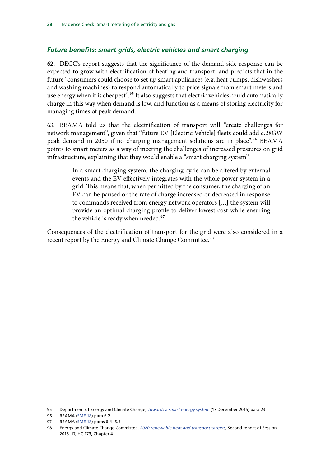#### <span id="page-29-0"></span>*Future benefits: smart grids, electric vehicles and smart charging*

62. DECC's report suggests that the significance of the demand side response can be expected to grow with electrification of heating and transport, and predicts that in the future "consumers could choose to set up smart appliances (e.g. heat pumps, dishwashers and washing machines) to respond automatically to price signals from smart meters and use energy when it is cheapest".<sup>95</sup> It also suggests that electric vehicles could automatically charge in this way when demand is low, and function as a means of storing electricity for managing times of peak demand.

63. BEAMA told us that the electrification of transport will "create challenges for network management", given that "future EV [Electric Vehicle] fleets could add c.28GW peak demand in 2050 if no charging management solutions are in place".<sup>96</sup> BEAMA points to smart meters as a way of meeting the challenges of increased pressures on grid infrastructure, explaining that they would enable a "smart charging system":

> In a smart charging system, the charging cycle can be altered by external events and the EV effectively integrates with the whole power system in a grid. This means that, when permitted by the consumer, the charging of an EV can be paused or the rate of charge increased or decreased in response to commands received from energy network operators […] the system will provide an optimal charging profile to deliver lowest cost while ensuring the vehicle is ready when needed.<sup>97</sup>

Consequences of the electrification of transport for the grid were also considered in a recent report by the Energy and Climate Change Committee.<sup>98</sup>

<sup>95</sup> Department of Energy and Climate Change, *[Towards a smart energy system](https://www.gov.uk/government/uploads/system/uploads/attachment_data/file/486362/Towards_a_smart_energy_system.pdf)* (17 December 2015) para 23

<sup>96</sup> BEAMA ([SME 18](http://data.parliament.uk/writtenevidence/committeeevidence.svc/evidencedocument/science-and-technology-committee/smart-meters/written/32016.html)) para 6.2

<sup>97</sup> BEAMA ([SME 18](http://data.parliament.uk/writtenevidence/committeeevidence.svc/evidencedocument/science-and-technology-committee/smart-meters/written/32016.html)) paras 6.4–6.5

<sup>98</sup> Energy and Climate Change Committee, *[2020 renewable heat and transport targets](http://www.publications.parliament.uk/pa/cm201617/cmselect/cmenergy/173/173.pdf?utm_source=173&utm_medium=module&utm_campaign=modulereports)*, Second report of Session 2016–17, HC 173, Chapter 4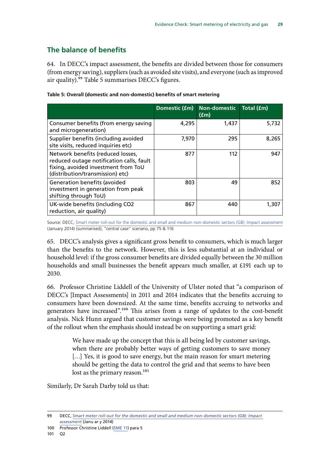### <span id="page-30-0"></span>**The balance of benefits**

64. In DECC's impact assessment, the benefits are divided between those for consumers (from energy saving), suppliers (such as avoided site visits), and everyone (such as improved air quality).99 Table 5 summarises DECC's figures.

|                                                                                                                                                          |       | Domestic (£m) Non-domestic<br>(fm) | Total (£m) |
|----------------------------------------------------------------------------------------------------------------------------------------------------------|-------|------------------------------------|------------|
| Consumer benefits (from energy saving<br>and microgeneration)                                                                                            | 4,295 | 1,437                              | 5,732      |
| Supplier benefits (including avoided<br>site visits, reduced inquiries etc)                                                                              | 7,970 | 295                                | 8,265      |
| Network benefits (reduced losses,<br>reduced outage notification calls, fault<br>fixing, avoided investment from ToU<br>(distribution/transmission) etc) | 877   | 112                                | 947        |
| <b>Generation benefits (avoided</b><br>investment in generation from peak<br>shifting through ToU)                                                       | 803   | 49                                 | 852        |
| UK-wide benefits (including CO2<br>reduction, air quality)                                                                                               | 867   | 440                                | 1,307      |

#### **Table 5: Overall (domestic and non-domestic) benefits of smart metering**

Source: DECC, [Smart meter roll-out for the domestic and small and medium non-domestic sectors \(GB\): Impact assessment](https://www.gov.uk/government/uploads/system/uploads/attachment_data/file/276656/smart_meter_roll_out_for_the_domestic_and_small_and_medium_and_non_domestic_sectors.pdf) (January 2014) (summarised), "central case" scenario, pp 75 & 116

65. DECC's analysis gives a significant gross benefit to consumers, which is much larger than the benefits to the network. However, this is less substantial at an individual or household level: if the gross consumer benefits are divided equally between the 30 million households and small businesses the benefit appears much smaller, at £191 each up to 2030.

66. Professor Christine Liddell of the University of Ulster noted that "a comparison of DECC's [Impact Assessments] in 2011 and 2014 indicates that the benefits accruing to consumers have been downsized. At the same time, benefits accruing to networks and generators have increased".100 This arises from a range of updates to the cost-benefit analysis. Nick Hunn argued that customer savings were being promoted as a key benefit of the rollout when the emphasis should instead be on supporting a smart grid:

> We have made up the concept that this is all being led by customer savings, when there are probably better ways of getting customers to save money [...] Yes, it is good to save energy, but the main reason for smart metering should be getting the data to control the grid and that seems to have been lost as the primary reason.<sup>101</sup>

Similarly, Dr Sarah Darby told us that:

<sup>99</sup> DECC, *[Smart meter roll-out for the domestic and small and medium non-domestic sectors \(GB\): Impact](https://www.gov.uk/government/uploads/system/uploads/attachment_data/file/276656/smart_meter_roll_out_for_the_domestic_and_small_and_medium_and_non_domestic_sectors.pdf)  [assessment](https://www.gov.uk/government/uploads/system/uploads/attachment_data/file/276656/smart_meter_roll_out_for_the_domestic_and_small_and_medium_and_non_domestic_sectors.pdf)* (Janu ar y 2014)

<sup>100</sup> Professor Christine Liddell [\(SME 11](http://data.parliament.uk/writtenevidence/committeeevidence.svc/evidencedocument/science-and-technology-committee/smart-meters/written/31710.html)) para 5

<sup>101</sup> Q2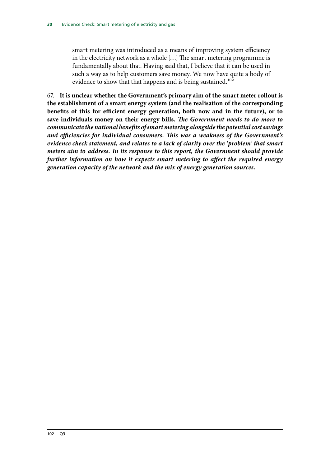smart metering was introduced as a means of improving system efficiency in the electricity network as a whole […] The smart metering programme is fundamentally about that. Having said that, I believe that it can be used in such a way as to help customers save money. We now have quite a body of evidence to show that that happens and is being sustained.<sup>102</sup>

67. **It is unclear whether the Government's primary aim of the smart meter rollout is the establishment of a smart energy system (and the realisation of the corresponding benefits of this for efficient energy generation, both now and in the future), or to save individuals money on their energy bills.** *The Government needs to do more to communicate the national benefits of smart metering alongside the potential cost savings and efficiencies for individual consumers. This was a weakness of the Government's evidence check statement, and relates to a lack of clarity over the 'problem' that smart meters aim to address. In its response to this report, the Government should provide further information on how it expects smart metering to affect the required energy generation capacity of the network and the mix of energy generation sources.*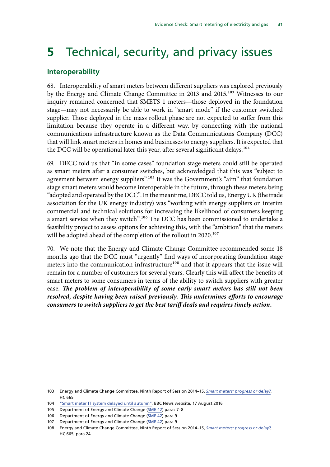## <span id="page-32-0"></span>**5** Technical, security, and privacy issues

#### **Interoperability**

68. Interoperability of smart meters between different suppliers was explored previously by the Energy and Climate Change Committee in 2013 and 2015.<sup>103</sup> Witnesses to our inquiry remained concerned that SMETS 1 meters—those deployed in the foundation stage—may not necessarily be able to work in "smart mode" if the customer switched supplier. Those deployed in the mass rollout phase are not expected to suffer from this limitation because they operate in a different way, by connecting with the national communications infrastructure known as the Data Communications Company (DCC) that will link smart meters in homes and businesses to energy suppliers. It is expected that the DCC will be operational later this year, after several significant delays.<sup>104</sup>

69. DECC told us that "in some cases" foundation stage meters could still be operated as smart meters after a consumer switches, but acknowledged that this was "subject to agreement between energy suppliers".<sup>105</sup> It was the Government's "aim" that foundation stage smart meters would become interoperable in the future, through these meters being "adopted and operated by the DCC". In the meantime, DECC told us, Energy UK (the trade association for the UK energy industry) was "working with energy suppliers on interim commercial and technical solutions for increasing the likelihood of consumers keeping a smart service when they switch".<sup>106</sup> The DCC has been commissioned to undertake a feasibility project to assess options for achieving this, with the "ambition" that the meters will be adopted ahead of the completion of the rollout in 2020.<sup>107</sup>

70. We note that the Energy and Climate Change Committee recommended some 18 months ago that the DCC must "urgently" find ways of incorporating foundation stage meters into the communication infrastructure<sup>108</sup> and that it appears that the issue will remain for a number of customers for several years. Clearly this will affect the benefits of smart meters to some consumers in terms of the ability to switch suppliers with greater ease. *The problem of interoperability of some early smart meters has still not been resolved, despite having been raised previously. This undermines efforts to encourage consumers to switch suppliers to get the best tariff deals and requires timely action.*

<sup>103</sup> Energy and Climate Change Committee, Ninth Report of Session 2014–15, *[Smart meters: progress or delay?](http://www.publications.parliament.uk/pa/cm201415/cmselect/cmenergy/665/665.pdf)*, HC 665

<sup>104</sup> ["Smart meter IT system delayed until autumn",](http://www.bbc.co.uk/news/business-37102725) BBC News website, 17 August 2016

<sup>105</sup> Department of Energy and Climate Change ([SME 42\)](http://data.parliament.uk/writtenevidence/committeeevidence.svc/evidencedocument/science-and-technology-committee/smart-meters/written/34284.html) paras 7–8

<sup>106</sup> Department of Energy and Climate Change ([SME 42\)](http://data.parliament.uk/writtenevidence/committeeevidence.svc/evidencedocument/science-and-technology-committee/smart-meters/written/34284.html) para 9

<sup>107</sup> Department of Energy and Climate Change ([SME 42\)](http://data.parliament.uk/writtenevidence/committeeevidence.svc/evidencedocument/science-and-technology-committee/smart-meters/written/34284.html) para 9

<sup>108</sup> Energy and Climate Change Committee, Ninth Report of Session 2014–15, *[Smart meters: progress or delay?](http://www.publications.parliament.uk/pa/cm201415/cmselect/cmenergy/665/665.pdf)*, HC 665, para 24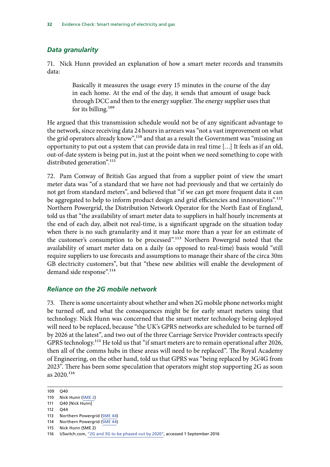#### <span id="page-33-0"></span>*Data granularity*

71. Nick Hunn provided an explanation of how a smart meter records and transmits data:

> Basically it measures the usage every 15 minutes in the course of the day in each home. At the end of the day, it sends that amount of usage back through DCC and then to the energy supplier. The energy supplier uses that for its billing.109

He argued that this transmission schedule would not be of any significant advantage to the network, since receiving data 24 hours in arrears was "not a vast improvement on what the grid operators already know",110 and that as a result the Government was "missing an opportunity to put out a system that can provide data in real time […] It feels as if an old, out-of-date system is being put in, just at the point when we need something to cope with distributed generation".<sup>111</sup>

72. Pam Conway of British Gas argued that from a supplier point of view the smart meter data was "of a standard that we have not had previously and that we certainly do not get from standard meters", and believed that "if we can get more frequent data it can be aggregated to help to inform product design and grid efficiencies and innovations".<sup>112</sup> Northern Powergrid, the Distribution Network Operator for the North East of England, told us that "the availability of smart meter data to suppliers in half hourly increments at the end of each day, albeit not real-time, is a significant upgrade on the situation today when there is no such granularity and it may take more than a year for an estimate of the customer's consumption to be processed".<sup>113</sup> Northern Powergrid noted that the availability of smart meter data on a daily (as opposed to real-time) basis would "still require suppliers to use forecasts and assumptions to manage their share of the circa 30m GB electricity customers", but that "these new abilities will enable the development of demand side response".<sup>114</sup>

#### *Reliance on the 2G mobile network*

73. There is some uncertainty about whether and when 2G mobile phone networks might be turned off, and what the consequences might be for early smart meters using that technology. Nick Hunn was concerned that the smart meter technology being deployed will need to be replaced, because "the UK's GPRS networks are scheduled to be turned off by 2026 at the latest", and two out of the three Carriage Service Provider contracts specify GPRS technology.115 He told us that "if smart meters are to remain operational after 2026, then all of the comms hubs in these areas will need to be replaced". The Royal Academy of Engineering, on the other hand, told us that GPRS was "being replaced by 3G/4G from 2023". There has been some speculation that operators might stop supporting 2G as soon as  $2020^{116}$ 

<sup>109</sup> Q40

<sup>110</sup> Nick Hunn [\(SME 2\)](http://data.parliament.uk/writtenevidence/committeeevidence.svc/evidencedocument/science-and-technology-committee/smart-meters/written/30836.html)

<sup>111</sup> Q40 [Nick Hunn]

<sup>112</sup> Q44

<sup>113</sup> Northern Powergrid ([SME 44\)](http://data.parliament.uk/writtenevidence/committeeevidence.svc/evidencedocument/science-and-technology-committee/smart-meters/written/36465.html)

<sup>114</sup> Northern Powergrid ([SME 44\)](http://data.parliament.uk/writtenevidence/committeeevidence.svc/evidencedocument/science-and-technology-committee/smart-meters/written/36465.html)

<sup>115</sup> Nick Hunn (SME 2)

<sup>116</sup> USwitch.com, ["2G and 3G to be phased out by 2020"](https://www.uswitch.com/broadband/news/2015/04/2g_and_3g_to_be_phased_out_by_2020/), accessed 1 September 2016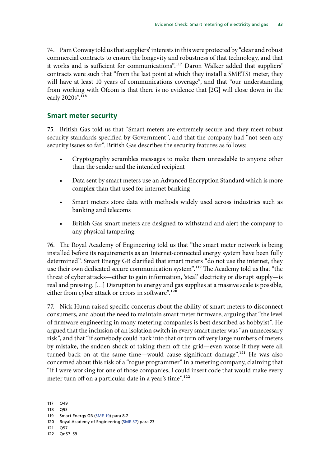<span id="page-34-0"></span>74. Pam Conway told us that suppliers' interests in this were protected by "clear and robust commercial contracts to ensure the longevity and robustness of that technology, and that it works and is sufficient for communications".117 Daron Walker added that suppliers' contracts were such that "from the last point at which they install a SMETS1 meter, they will have at least 10 years of communications coverage", and that "our understanding from working with Ofcom is that there is no evidence that [2G] will close down in the early 2020s".<sup>118</sup>

#### **Smart meter security**

75. British Gas told us that "Smart meters are extremely secure and they meet robust security standards specified by Government", and that the company had "not seen any security issues so far". British Gas describes the security features as follows:

- Cryptography scrambles messages to make them unreadable to anyone other than the sender and the intended recipient
- Data sent by smart meters use an Advanced Encryption Standard which is more complex than that used for internet banking
- Smart meters store data with methods widely used across industries such as banking and telecoms
- British Gas smart meters are designed to withstand and alert the company to any physical tampering.

76. The Royal Academy of Engineering told us that "the smart meter network is being installed before its requirements as an Internet-connected energy system have been fully determined". Smart Energy GB clarified that smart meters "do not use the internet, they use their own dedicated secure communication system".119 The Academy told us that "the threat of cyber attacks—either to gain information, 'steal' electricity or disrupt supply—is real and pressing. […] Disruption to energy and gas supplies at a massive scale is possible, either from cyber attack or errors in software".<sup>120</sup>

77. Nick Hunn raised specific concerns about the ability of smart meters to disconnect consumers, and about the need to maintain smart meter firmware, arguing that "the level of firmware engineering in many metering companies is best described as hobbyist". He argued that the inclusion of an isolation switch in every smart meter was "an unnecessary risk", and that "if somebody could hack into that or turn off very large numbers of meters by mistake, the sudden shock of taking them off the grid—even worse if they were all turned back on at the same time—would cause significant damage".<sup>121</sup> He was also concerned about this risk of a "rogue programmer" in a metering company, claiming that "if I were working for one of those companies, I could insert code that would make every meter turn off on a particular date in a year's time".<sup>122</sup>

121 Q57

<sup>117</sup> Q49

<sup>118</sup> Q93

<sup>119</sup> Smart Energy GB [\(SME 19\)](http://data.parliament.uk/writtenevidence/committeeevidence.svc/evidencedocument/science-and-technology-committee/smart-meters/written/32020.html) para 8.2

<sup>120</sup> Royal Academy of Engineering ([SME 37\)](http://data.parliament.uk/writtenevidence/committeeevidence.svc/evidencedocument/science-and-technology-committee/smart-meters/written/32315.html) para 23

<sup>122</sup> Qq57–59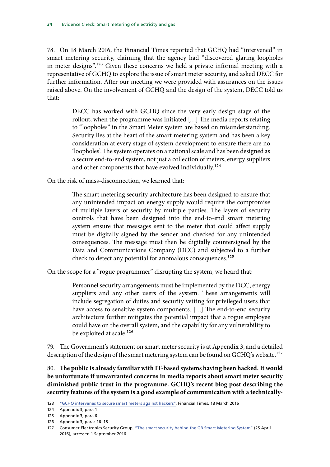78. On 18 March 2016, the Financial Times reported that GCHQ had "intervened" in smart metering security, claiming that the agency had "discovered glaring loopholes in meter designs".123 Given these concerns we held a private informal meeting with a representative of GCHQ to explore the issue of smart meter security, and asked DECC for further information. After our meeting we were provided with assurances on the issues raised above. On the involvement of GCHQ and the design of the system, DECC told us that:

> DECC has worked with GCHQ since the very early design stage of the rollout, when the programme was initiated […] The media reports relating to "loopholes" in the Smart Meter system are based on misunderstanding. Security lies at the heart of the smart metering system and has been a key consideration at every stage of system development to ensure there are no 'loopholes'. The system operates on a national scale and has been designed as a secure end-to-end system, not just a collection of meters, energy suppliers and other components that have evolved individually.<sup>124</sup>

On the risk of mass-disconnection, we learned that:

The smart metering security architecture has been designed to ensure that any unintended impact on energy supply would require the compromise of multiple layers of security by multiple parties. The layers of security controls that have been designed into the end-to-end smart metering system ensure that messages sent to the meter that could affect supply must be digitally signed by the sender and checked for any unintended consequences. The message must then be digitally countersigned by the Data and Communications Company (DCC) and subjected to a further check to detect any potential for anomalous consequences.<sup>125</sup>

On the scope for a "rogue programmer" disrupting the system, we heard that:

Personnel security arrangements must be implemented by the DCC, energy suppliers and any other users of the system. These arrangements will include segregation of duties and security vetting for privileged users that have access to sensitive system components. […] The end-to-end security architecture further mitigates the potential impact that a rogue employee could have on the overall system, and the capability for any vulnerability to be exploited at scale.<sup>126</sup>

79. The Government's statement on smart meter security is at Appendix 3, and a detailed description of the design of the smart metering system can be found on GCHQ's website.<sup>127</sup>

80. **The public is already familiar with IT-based systems having been hacked. It would be unfortunate if unwarranted concerns in media reports about smart meter security diminished public trust in the programme. GCHQ's recent blog post describing the security features of the system is a good example of communication with a technically-**

<sup>123</sup> ["GCHQ intervenes to secure smart meters against hackers"](https://www.google.co.uk/url?sa=t&rct=j&q=&esrc=s&source=web&cd=1&cad=rja&uact=8&ved=0ahUKEwi_g4efw9_OAhXqA5oKHbN5Ck8QFggcMAA&url=http%3A%2F%2Fwww.ft.com%2Fcms%2Fs%2F0%2Fca2d7684-ed15-11e5-bb79-2303682345c8.html&usg=AFQjCNEbM6v8nzxBba06TJgNrxzFNPBNzQ&sig2=vuVbyz7MMWD2p8wi4zeAAw), Financial Times, 18 March 2016

<sup>124</sup> Appendix 3, para 1

<sup>125</sup> Appendix 3, para 6

<sup>126</sup> Appendix 3, paras 16–18

<sup>127</sup> Consumer Electronics Security Group, ["The smart security behind the GB Smart Metering System"](https://www.cesg.gov.uk/articles/smart-security-behind-gb-smart-metering-system) (25 April 2016), accessed 1 September 2016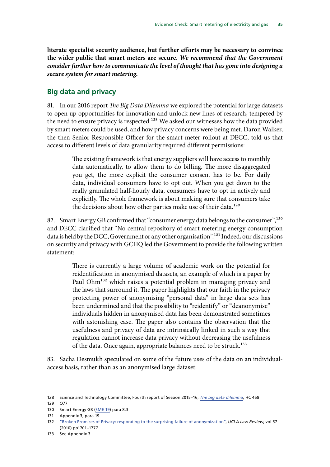<span id="page-36-0"></span>**literate specialist security audience, but further efforts may be necessary to convince the wider public that smart meters are secure.** *We recommend that the Government consider further how to communicate the level of thought that has gone into designing a secure system for smart metering.*

#### **Big data and privacy**

81. In our 2016 report *The Big Data Dilemma* we explored the potential for large datasets to open up opportunities for innovation and unlock new lines of research, tempered by the need to ensure privacy is respected.128 We asked our witnesses how the data provided by smart meters could be used, and how privacy concerns were being met. Daron Walker, the then Senior Responsible Officer for the smart meter rollout at DECC, told us that access to different levels of data granularity required different permissions:

> The existing framework is that energy suppliers will have access to monthly data automatically, to allow them to do billing. The more disaggregated you get, the more explicit the consumer consent has to be. For daily data, individual consumers have to opt out. When you get down to the really granulated half-hourly data, consumers have to opt in actively and explicitly. The whole framework is about making sure that consumers take the decisions about how other parties make use of their data.<sup>129</sup>

82. Smart Energy GB confirmed that "consumer energy data belongs to the consumer",<sup>130</sup> and DECC clarified that "No central repository of smart metering energy consumption data is held by the DCC, Government or any other organisation".131 Indeed, our discussions on security and privacy with GCHQ led the Government to provide the following written statement:

> There is currently a large volume of academic work on the potential for reidentification in anonymised datasets, an example of which is a paper by Paul Ohm<sup>132</sup> which raises a potential problem in managing privacy and the laws that surround it. The paper highlights that our faith in the privacy protecting power of anonymising "personal data" in large data sets has been undermined and that the possibility to "reidentify" or "deanonymise" individuals hidden in anonymised data has been demonstrated sometimes with astonishing ease. The paper also contains the observation that the usefulness and privacy of data are intrinsically linked in such a way that regulation cannot increase data privacy without decreasing the usefulness of the data. Once again, appropriate balances need to be struck.<sup>133</sup>

83. Sacha Desmukh speculated on some of the future uses of the data on an individualaccess basis, rather than as an anonymised large dataset:

<sup>128</sup> Science and Technology Committee, Fourth report of Session 2015–16, *[The big data dilemma](http://www.publications.parliament.uk/pa/cm201516/cmselect/cmsctech/468/468.pdf)*, HC 468

<sup>129</sup> Q77

<sup>130</sup> Smart Energy GB [\(SME 19\)](http://data.parliament.uk/writtenevidence/committeeevidence.svc/evidencedocument/science-and-technology-committee/smart-meters/written/32020.html) para 8.3

<sup>131</sup> Appendix 3, para  $\overline{19}$ 

<sup>132</sup> ["Broken Promises of Privacy: responding to the surprising failure of anonymization"](http://www.uclalawreview.org/pdf/57-6-3.pdf), *UCLA Law Review*, vol 57 (2010) pp1701–1777

<sup>133</sup> See Appendix 3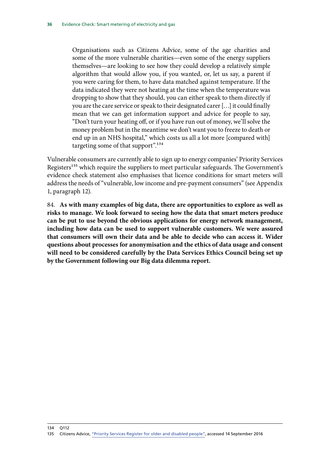Organisations such as Citizens Advice, some of the age charities and some of the more vulnerable charities—even some of the energy suppliers themselves—are looking to see how they could develop a relatively simple algorithm that would allow you, if you wanted, or, let us say, a parent if you were caring for them, to have data matched against temperature. If the data indicated they were not heating at the time when the temperature was dropping to show that they should, you can either speak to them directly if you are the care service or speak to their designated carer […] it could finally mean that we can get information support and advice for people to say, "Don't turn your heating off, or if you have run out of money, we'll solve the money problem but in the meantime we don't want you to freeze to death or end up in an NHS hospital," which costs us all a lot more [compared with] targeting some of that support".<sup>134</sup>

Vulnerable consumers are currently able to sign up to energy companies' Priority Services Registers<sup>135</sup> which require the suppliers to meet particular safeguards. The Government's evidence check statement also emphasises that licence conditions for smart meters will address the needs of "vulnerable, low income and pre-payment consumers" (see Appendix 1, paragraph 12).

84. **As with many examples of big data, there are opportunities to explore as well as risks to manage. We look forward to seeing how the data that smart meters produce can be put to use beyond the obvious applications for energy network management, including how data can be used to support vulnerable customers. We were assured that consumers will own their data and be able to decide who can access it. Wider questions about processes for anonymisation and the ethics of data usage and consent will need to be considered carefully by the Data Services Ethics Council being set up by the Government following our Big data dilemma report.**

134 Q112

<sup>135</sup> Citizens Advice, ["Priority Services Register for older and disabled people",](https://www.citizensadvice.org.uk/consumer/energy/energy-supply/get-help-paying-your-bills/priority-services-register-for-older-and-disabled-people/) accessed 14 September 2016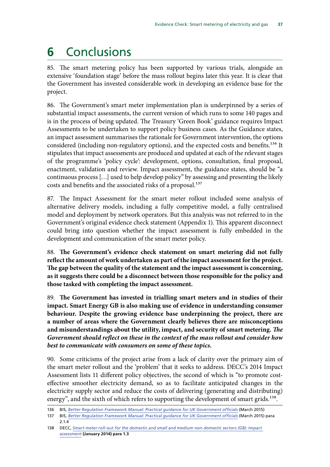## <span id="page-38-0"></span>**6** Conclusions

85. The smart metering policy has been supported by various trials, alongside an extensive 'foundation stage' before the mass rollout begins later this year. It is clear that the Government has invested considerable work in developing an evidence base for the project.

86. The Government's smart meter implementation plan is underpinned by a series of substantial impact assessments, the current version of which runs to some 140 pages and is in the process of being updated. The Treasury 'Green Book' guidance requires Impact Assessments to be undertaken to support policy business cases. As the Guidance states, an impact assessment summarises the rationale for Government intervention, the options considered (including non-regulatory options), and the expected costs and benefits.<sup>136</sup> It stipulates that impact assessments are produced and updated at each of the relevant stages of the programme's 'policy cycle': development, options, consultation, final proposal, enactment, validation and review. Impact assessment, the guidance states, should be "a continuous process […] used to help develop policy" by assessing and presenting the likely costs and benefits and the associated risks of a proposal.<sup>137</sup>

87. The Impact Assessment for the smart meter rollout included some analysis of alternative delivery models, including a fully competitive model, a fully centralised model and deployment by network operators. But this analysis was not referred to in the Government's original evidence check statement (Appendix 1). This apparent disconnect could bring into question whether the impact assessment is fully embedded in the development and communication of the smart meter policy.

88. **The Government's evidence check statement on smart metering did not fully reflect the amount of work undertaken as part of the impact assessment for the project. The gap between the quality of the statement and the impact assessment is concerning, as it suggests there could be a disconnect between those responsible for the policy and those tasked with completing the impact assessment.**

89. **The Government has invested in trialling smart meters and in studies of their impact. Smart Energy GB is also making use of evidence in understanding consumer behaviour. Despite the growing evidence base underpinning the project, there are a number of areas where the Government clearly believes there are misconceptions and misunderstandings about the utility, impact, and security of smart metering.** *The Government should reflect on these in the context of the mass rollout and consider how best to communicate with consumers on some of these topics.*

90. Some criticisms of the project arise from a lack of clarity over the primary aim of the smart meter rollout and the 'problem' that it seeks to address. DECC's 2014 Impact Assessment lists 11 different policy objectives, the second of which is "to promote costeffective smoother electricity demand, so as to facilitate anticipated changes in the electricity supply sector and reduce the costs of delivering (generating and distributing) energy", and the sixth of which refers to supporting the development of smart grids.<sup>138</sup>.

<sup>136</sup> BIS, [Better Regulation Framework Manual: Practical guidance for UK Government officials](https://www.gov.uk/government/uploads/system/uploads/attachment_data/file/468831/bis-13-1038-Better-regulation-framework-manual.pdf) (March 2015)

<sup>137</sup> BIS, [Better Regulation Framework Manual: Practical guidance for UK Government officials](https://www.gov.uk/government/uploads/system/uploads/attachment_data/file/468831/bis-13-1038-Better-regulation-framework-manual.pdf) (March 2015) para 2.1.4

<sup>138</sup> DECC, *[Smart meter roll-out for the domestic and small and medium non-domestic sectors \(GB\): Impact](https://www.gov.uk/government/uploads/system/uploads/attachment_data/file/276656/smart_meter_roll_out_for_the_domestic_and_small_and_medium_and_non_domestic_sectors.pdf)  [assessment](https://www.gov.uk/government/uploads/system/uploads/attachment_data/file/276656/smart_meter_roll_out_for_the_domestic_and_small_and_medium_and_non_domestic_sectors.pdf)* **(January 2014) para 1.3**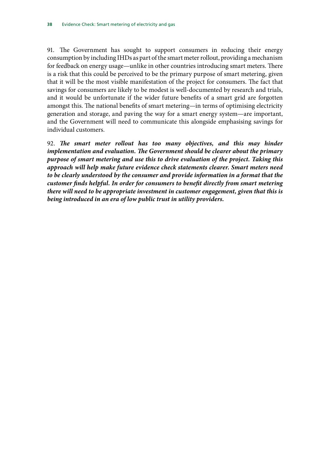91. The Government has sought to support consumers in reducing their energy consumption by including IHDs as part of the smart meter rollout, providing a mechanism for feedback on energy usage—unlike in other countries introducing smart meters. There is a risk that this could be perceived to be the primary purpose of smart metering, given that it will be the most visible manifestation of the project for consumers. The fact that savings for consumers are likely to be modest is well-documented by research and trials, and it would be unfortunate if the wider future benefits of a smart grid are forgotten amongst this. The national benefits of smart metering—in terms of optimising electricity generation and storage, and paving the way for a smart energy system—are important, and the Government will need to communicate this alongside emphasising savings for individual customers.

92. *The smart meter rollout has too many objectives, and this may hinder implementation and evaluation. The Government should be clearer about the primary purpose of smart metering and use this to drive evaluation of the project. Taking this approach will help make future evidence check statements clearer. Smart meters need to be clearly understood by the consumer and provide information in a format that the customer finds helpful. In order for consumers to benefit directly from smart metering there will need to be appropriate investment in customer engagement, given that this is being introduced in an era of low public trust in utility providers.*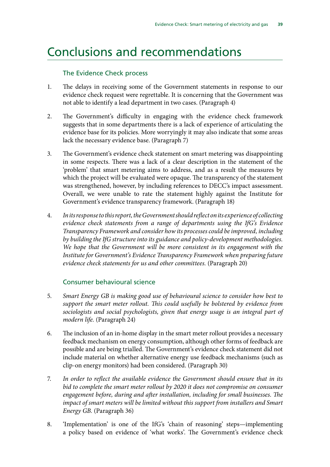### <span id="page-40-0"></span>Conclusions and recommendations

#### The Evidence Check process

- 1. The delays in receiving some of the Government statements in response to our evidence check request were regrettable. It is concerning that the Government was not able to identify a lead department in two cases. (Paragraph 4)
- 2. The Government's difficulty in engaging with the evidence check framework suggests that in some departments there is a lack of experience of articulating the evidence base for its policies. More worryingly it may also indicate that some areas lack the necessary evidence base. (Paragraph 7)
- 3. The Government's evidence check statement on smart metering was disappointing in some respects. There was a lack of a clear description in the statement of the 'problem' that smart metering aims to address, and as a result the measures by which the project will be evaluated were opaque. The transparency of the statement was strengthened, however, by including references to DECC's impact assessment. Overall, we were unable to rate the statement highly against the Institute for Government's evidence transparency framework. (Paragraph 18)
- 4. *In its response to this report, the Government should reflect on its experience of collecting evidence check statements from a range of departments using the IfG's Evidence Transparency Framework and consider how its processes could be improved, including by building the IfG structure into its guidance and policy-development methodologies. We hope that the Government will be more consistent in its engagement with the Institute for Government's Evidence Transparency Framework when preparing future evidence check statements for us and other committees.* (Paragraph 20)

#### Consumer behavioural science

- 5. *Smart Energy GB is making good use of behavioural science to consider how best to support the smart meter rollout. This could usefully be bolstered by evidence from sociologists and social psychologists, given that energy usage is an integral part of modern life.* (Paragraph 24)
- 6. The inclusion of an in-home display in the smart meter rollout provides a necessary feedback mechanism on energy consumption, although other forms of feedback are possible and are being trialled. The Government's evidence check statement did not include material on whether alternative energy use feedback mechanisms (such as clip-on energy monitors) had been considered. (Paragraph 30)
- 7. *In order to reflect the available evidence the Government should ensure that in its bid to complete the smart meter rollout by 2020 it does not compromise on consumer engagement before, during and after installation, including for small businesses. The impact of smart meters will be limited without this support from installers and Smart Energy GB.* (Paragraph 36)
- 8. 'Implementation' is one of the IfG's 'chain of reasoning' steps—implementing a policy based on evidence of 'what works'. The Government's evidence check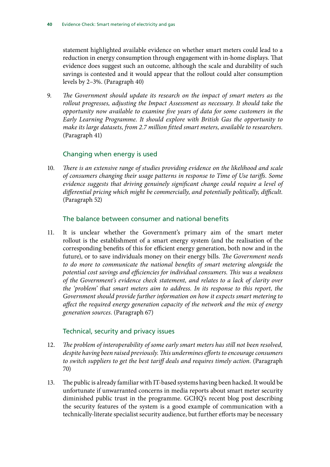statement highlighted available evidence on whether smart meters could lead to a reduction in energy consumption through engagement with in-home displays. That evidence does suggest such an outcome, although the scale and durability of such savings is contested and it would appear that the rollout could alter consumption levels by 2–3%. (Paragraph 40)

9. *The Government should update its research on the impact of smart meters as the rollout progresses, adjusting the Impact Assessment as necessary. It should take the opportunity now available to examine five years of data for some customers in the Early Learning Programme. It should explore with British Gas the opportunity to make its large datasets, from 2.7 million fitted smart meters, available to researchers.*  (Paragraph 41)

#### Changing when energy is used

10. *There is an extensive range of studies providing evidence on the likelihood and scale of consumers changing their usage patterns in response to Time of Use tariffs. Some evidence suggests that driving genuinely significant change could require a level of differential pricing which might be commercially, and potentially politically, difficult.*  (Paragraph 52)

#### The balance between consumer and national benefits

11. It is unclear whether the Government's primary aim of the smart meter rollout is the establishment of a smart energy system (and the realisation of the corresponding benefits of this for efficient energy generation, both now and in the future), or to save individuals money on their energy bills. *The Government needs to do more to communicate the national benefits of smart metering alongside the potential cost savings and efficiencies for individual consumers. This was a weakness of the Government's evidence check statement, and relates to a lack of clarity over the 'problem' that smart meters aim to address. In its response to this report, the Government should provide further information on how it expects smart metering to affect the required energy generation capacity of the network and the mix of energy generation sources.* (Paragraph 67)

#### Technical, security and privacy issues

- 12. *The problem of interoperability of some early smart meters has still not been resolved, despite having been raised previously. This undermines efforts to encourage consumers*  to switch suppliers to get the best tariff deals and requires timely action. (Paragraph 70)
- 13. The public is already familiar with IT-based systems having been hacked. It would be unfortunate if unwarranted concerns in media reports about smart meter security diminished public trust in the programme. GCHQ's recent blog post describing the security features of the system is a good example of communication with a technically-literate specialist security audience, but further efforts may be necessary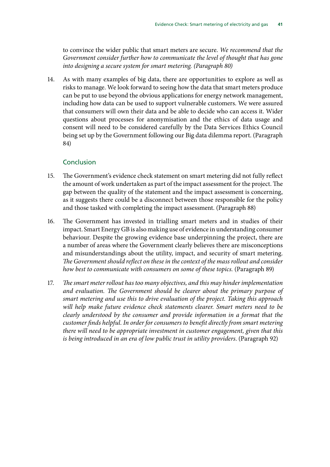to convince the wider public that smart meters are secure. *We recommend that the Government consider further how to communicate the level of thought that has gone into designing a secure system for smart metering. (Paragraph 80)*

14. As with many examples of big data, there are opportunities to explore as well as risks to manage. We look forward to seeing how the data that smart meters produce can be put to use beyond the obvious applications for energy network management, including how data can be used to support vulnerable customers. We were assured that consumers will own their data and be able to decide who can access it. Wider questions about processes for anonymisation and the ethics of data usage and consent will need to be considered carefully by the Data Services Ethics Council being set up by the Government following our Big data dilemma report. (Paragraph 84)

#### Conclusion

- 15. The Government's evidence check statement on smart metering did not fully reflect the amount of work undertaken as part of the impact assessment for the project. The gap between the quality of the statement and the impact assessment is concerning, as it suggests there could be a disconnect between those responsible for the policy and those tasked with completing the impact assessment. (Paragraph 88)
- 16. The Government has invested in trialling smart meters and in studies of their impact. Smart Energy GB is also making use of evidence in understanding consumer behaviour. Despite the growing evidence base underpinning the project, there are a number of areas where the Government clearly believes there are misconceptions and misunderstandings about the utility, impact, and security of smart metering. *The Government should reflect on these in the context of the mass rollout and consider how best to communicate with consumers on some of these topics.* (Paragraph 89)
- 17. *The smart meter rollout has too many objectives, and this may hinder implementation and evaluation. The Government should be clearer about the primary purpose of smart metering and use this to drive evaluation of the project. Taking this approach will help make future evidence check statements clearer. Smart meters need to be clearly understood by the consumer and provide information in a format that the customer finds helpful. In order for consumers to benefit directly from smart metering there will need to be appropriate investment in customer engagement, given that this is being introduced in an era of low public trust in utility providers*. (Paragraph 92)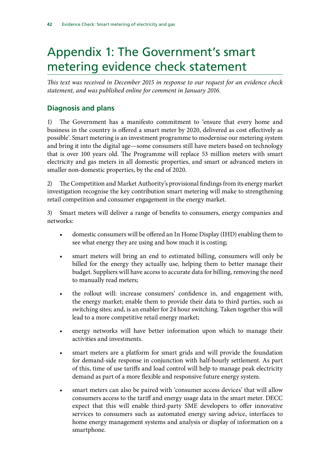## <span id="page-43-0"></span>Appendix 1: The Government's smart metering evidence check statement

*This text was received in December 2015 in response to our request for an evidence check statement, and was published online for comment in January 2016.*

### **Diagnosis and plans**

1) The Government has a manifesto commitment to 'ensure that every home and business in the country is offered a smart meter by 2020, delivered as cost effectively as possible'. Smart metering is an investment programme to modernise our metering system and bring it into the digital age—some consumers still have meters based on technology that is over 100 years old. The Programme will replace 53 million meters with smart electricity and gas meters in all domestic properties, and smart or advanced meters in smaller non-domestic properties, by the end of 2020.

2) The Competition and Market Authority's provisional findings from its energy market investigation recognise the key contribution smart metering will make to strengthening retail competition and consumer engagement in the energy market.

3) Smart meters will deliver a range of benefits to consumers, energy companies and networks:

- domestic consumers will be offered an In Home Display (IHD) enabling them to see what energy they are using and how much it is costing;
- smart meters will bring an end to estimated billing, consumers will only be billed for the energy they actually use, helping them to better manage their budget. Suppliers will have access to accurate data for billing, removing the need to manually read meters;
- the rollout will: increase consumers' confidence in, and engagement with, the energy market; enable them to provide their data to third parties, such as switching sites; and, is an enabler for 24 hour switching. Taken together this will lead to a more competitive retail energy market;
- energy networks will have better information upon which to manage their activities and investments.
- smart meters are a platform for smart grids and will provide the foundation for demand-side response in conjunction with half-hourly settlement. As part of this, time of use tariffs and load control will help to manage peak electricity demand as part of a more flexible and responsive future energy system.
- smart meters can also be paired with 'consumer access devices' that will allow consumers access to the tariff and energy usage data in the smart meter. DECC expect that this will enable third-party SME developers to offer innovative services to consumers such as automated energy saving advice, interfaces to home energy management systems and analysis or display of information on a smartphone.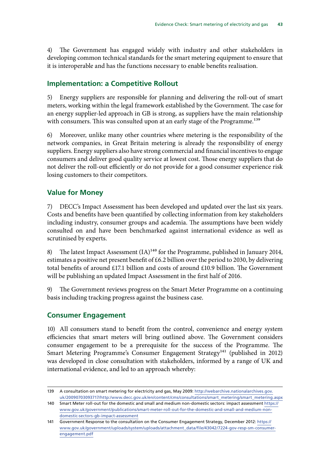4) The Government has engaged widely with industry and other stakeholders in developing common technical standards for the smart metering equipment to ensure that it is interoperable and has the functions necessary to enable benefits realisation.

#### **Implementation: a Competitive Rollout**

5) Energy suppliers are responsible for planning and delivering the roll-out of smart meters, working within the legal framework established by the Government. The case for an energy supplier-led approach in GB is strong, as suppliers have the main relationship with consumers. This was consulted upon at an early stage of the Programme.<sup>139</sup>

6) Moreover, unlike many other countries where metering is the responsibility of the network companies, in Great Britain metering is already the responsibility of energy suppliers. Energy suppliers also have strong commercial and financial incentives to engage consumers and deliver good quality service at lowest cost. Those energy suppliers that do not deliver the roll-out efficiently or do not provide for a good consumer experience risk losing customers to their competitors.

#### **Value for Money**

7) DECC's Impact Assessment has been developed and updated over the last six years. Costs and benefits have been quantified by collecting information from key stakeholders including industry, consumer groups and academia. The assumptions have been widely consulted on and have been benchmarked against international evidence as well as scrutinised by experts.

8) The latest Impact Assessment (IA)<sup>140</sup> for the Programme, published in January 2014, estimates a positive net present benefit of £6.2 billion over the period to 2030, by delivering total benefits of around £17.1 billion and costs of around £10.9 billion. The Government will be publishing an updated Impact Assessment in the first half of 2016.

9) The Government reviews progress on the Smart Meter Programme on a continuing basis including tracking progress against the business case.

#### **Consumer Engagement**

10) All consumers stand to benefit from the control, convenience and energy system efficiencies that smart meters will bring outlined above. The Government considers consumer engagement to be a prerequisite for the success of the Programme. The Smart Metering Programme's Consumer Engagement Strategy<sup>141</sup> (published in 2012) was developed in close consultation with stakeholders, informed by a range of UK and international evidence, and led to an approach whereby:

<sup>139</sup> A consultation on smart metering for electricity and gas, May 2009: [http://webarchive.nationalarchives.gov.](http://webarchive.nationalarchives.gov.uk/20090703093717/http:/www.decc.gov.uk/en/content/cms/consultations/smart_metering/smart_metering.aspx) [uk/20090703093717/http:/www.decc.gov.uk/en/content/cms/consultations/smart\\_metering/smart\\_metering.aspx](http://webarchive.nationalarchives.gov.uk/20090703093717/http:/www.decc.gov.uk/en/content/cms/consultations/smart_metering/smart_metering.aspx)

<sup>140</sup> Smart Meter roll-out for the domestic and small and medium non-domestic sectors: impact assessment [https://](https://www.gov.uk/government/publications/smart-meter-roll-out-for-the-domestic-and-small-and-medium-non-domestic-sectors-gb-impact-assessment) [www.gov.uk/government/publications/smart-meter-roll-out-for-the-domestic-and-small-and-medium-non](https://www.gov.uk/government/publications/smart-meter-roll-out-for-the-domestic-and-small-and-medium-non-domestic-sectors-gb-impact-assessment)[domestic-sectors-gb-impact-assessment](https://www.gov.uk/government/publications/smart-meter-roll-out-for-the-domestic-and-small-and-medium-non-domestic-sectors-gb-impact-assessment)

<sup>141</sup> Government Response to the consultation on the Consumer Engagement Strategy, December 2012: [https://](https://www.gov.uk/government/uploads/system/uploads/attachment_data/file/43042/7224-gov-resp-sm-consumer-engagement.pdf) [www.gov.uk/government/uploads/system/uploads/attachment\\_data/file/43042/7224-gov-resp-sm-consumer](https://www.gov.uk/government/uploads/system/uploads/attachment_data/file/43042/7224-gov-resp-sm-consumer-engagement.pdf)[engagement.pdf](https://www.gov.uk/government/uploads/system/uploads/attachment_data/file/43042/7224-gov-resp-sm-consumer-engagement.pdf)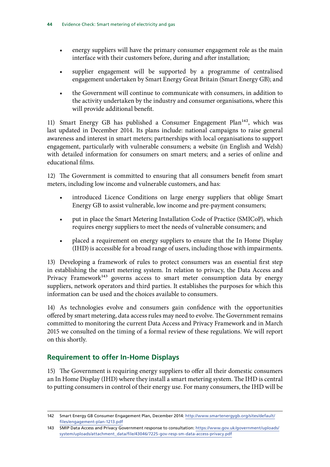- energy suppliers will have the primary consumer engagement role as the main interface with their customers before, during and after installation;
- supplier engagement will be supported by a programme of centralised engagement undertaken by Smart Energy Great Britain (Smart Energy GB); and
- the Government will continue to communicate with consumers, in addition to the activity undertaken by the industry and consumer organisations, where this will provide additional benefit.

11) Smart Energy GB has published a Consumer Engagement Plan<sup>142</sup>, which was last updated in December 2014. Its plans include: national campaigns to raise general awareness and interest in smart meters; partnerships with local organisations to support engagement, particularly with vulnerable consumers; a website (in English and Welsh) with detailed information for consumers on smart meters; and a series of online and educational films.

12) The Government is committed to ensuring that all consumers benefit from smart meters, including low income and vulnerable customers, and has:

- introduced Licence Conditions on large energy suppliers that oblige Smart Energy GB to assist vulnerable, low income and pre-payment consumers;
- put in place the Smart Metering Installation Code of Practice (SMICoP), which requires energy suppliers to meet the needs of vulnerable consumers; and
- placed a requirement on energy suppliers to ensure that the In Home Display (IHD) is accessible for a broad range of users, including those with impairments.

13) Developing a framework of rules to protect consumers was an essential first step in establishing the smart metering system. In relation to privacy, the Data Access and Privacy Framework<sup>143</sup> governs access to smart meter consumption data by energy suppliers, network operators and third parties. It establishes the purposes for which this information can be used and the choices available to consumers.

14) As technologies evolve and consumers gain confidence with the opportunities offered by smart metering, data access rules may need to evolve. The Government remains committed to monitoring the current Data Access and Privacy Framework and in March 2015 we consulted on the timing of a formal review of these regulations. We will report on this shortly.

### **Requirement to offer In-Home Displays**

15) The Government is requiring energy suppliers to offer all their domestic consumers an In Home Display (IHD) where they install a smart metering system. The IHD is central to putting consumers in control of their energy use. For many consumers, the IHD will be

<sup>142</sup> Smart Energy GB Consumer Engagement Plan, December 2014: [http://www.smartenergygb.org/sites/default/](http://www.smartenergygb.org/sites/default/files/engagement-plan-1213.pdf) [files/engagement-plan-1213.pdf](http://www.smartenergygb.org/sites/default/files/engagement-plan-1213.pdf)

<sup>143</sup> SMIP Data Access and Privacy Government response to consultation: [https://www.gov.uk/government/uploads/](https://www.gov.uk/government/uploads/system/uploads/attachment_data/file/43046/7225-gov-resp-sm-data-access-privacy.pdf) [system/uploads/attachment\\_data/file/43046/7225-gov-resp-sm-data-access-privacy.pdf](https://www.gov.uk/government/uploads/system/uploads/attachment_data/file/43046/7225-gov-resp-sm-data-access-privacy.pdf)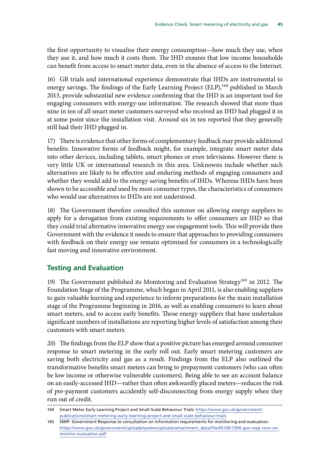the first opportunity to visualise their energy consumption—how much they use, when they use it, and how much it costs them. The IHD ensures that low income households can benefit from access to smart meter data, even in the absence of access to the Internet.

16) GB trials and international experience demonstrate that IHDs are instrumental to energy savings. The findings of the Early Learning Project (ELP),<sup>144</sup> published in March 2013, provide substantial new evidence confirming that the IHD is an important tool for engaging consumers with energy-use information. The research showed that more than nine in ten of all smart meter customers surveyed who received an IHD had plugged it in at some point since the installation visit. Around six in ten reported that they generally still had their IHD plugged in.

17) There is evidence that other forms of complementary feedback may provide additional benefits. Innovative forms of feedback might, for example, integrate smart meter data into other devices, including tablets, smart phones or even televisions. However there is very little UK or international research in this area. Unknowns include whether such alternatives are likely to be effective and enduring methods of engaging consumers and whether they would add to the energy saving benefits of IHDs. Whereas IHDs have been shown to be accessible and used by most consumer types, the characteristics of consumers who would use alternatives to IHDs are not understood.

18) The Government therefore consulted this summer on allowing energy suppliers to apply for a derogation from existing requirements to offer consumers an IHD so that they could trial alternative innovative energy use engagement tools. This will provide then Government with the evidence it needs to ensure that approaches to providing consumers with feedback on their energy use remain optimised for consumers in a technologically fast moving and innovative environment.

#### **Testing and Evaluation**

19) The Government published its Monitoring and Evaluation Strategy<sup>145</sup> in 2012. The Foundation Stage of the Programme, which began in April 2011, is also enabling suppliers to gain valuable learning and experience to inform preparations for the main installation stage of the Programme beginning in 2016, as well as enabling consumers to learn about smart meters, and to access early benefits. Those energy suppliers that have undertaken significant numbers of installations are reporting higher levels of satisfaction among their customers with smart meters.

20) The findings from the ELP show that a positive picture has emerged around consumer response to smart metering in the early roll out. Early smart metering customers are saving both electricity and gas as a result. Findings from the ELP also outlined the transformative benefits smart meters can bring to prepayment customers (who can often be low income or otherwise vulnerable customers). Being able to see an account balance on an easily-accessed IHD—rather than often awkwardly placed meters—reduces the risk of pre-payment customers accidently self-disconnecting from energy supply when they run out of credit.

<sup>144</sup> Smart Meter Early Learning Project and Small-Scale Behaviour Trials: [https://www.gov.uk/government/](https://www.gov.uk/government/publications/smart-metering-early-learning-project-and-small-scale-behaviour-trials) [publications/smart-metering-early-learning-project-and-small-scale-behaviour-trials](https://www.gov.uk/government/publications/smart-metering-early-learning-project-and-small-scale-behaviour-trials)

<sup>145</sup> SMIP: Government Response to consultation on information requirements for monitoring and evaluation: [https://www.gov.uk/government/uploads/system/uploads/attachment\\_data/file/43136/7206-gov-resp-cons-sm](https://www.gov.uk/government/uploads/system/uploads/attachment_data/file/43136/7206-gov-resp-cons-sm-monitor-evaluation.pdf)[monitor-evaluation.pdf](https://www.gov.uk/government/uploads/system/uploads/attachment_data/file/43136/7206-gov-resp-cons-sm-monitor-evaluation.pdf)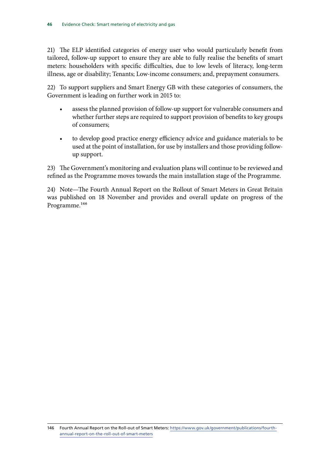21) The ELP identified categories of energy user who would particularly benefit from tailored, follow-up support to ensure they are able to fully realise the benefits of smart meters: householders with specific difficulties, due to low levels of literacy, long-term illness, age or disability; Tenants; Low-income consumers; and, prepayment consumers.

22) To support suppliers and Smart Energy GB with these categories of consumers, the Government is leading on further work in 2015 to:

- assess the planned provision of follow-up support for vulnerable consumers and whether further steps are required to support provision of benefits to key groups of consumers;
- to develop good practice energy efficiency advice and guidance materials to be used at the point of installation, for use by installers and those providing followup support.

23) The Government's monitoring and evaluation plans will continue to be reviewed and refined as the Programme moves towards the main installation stage of the Programme.

24) Note—The Fourth Annual Report on the Rollout of Smart Meters in Great Britain was published on 18 November and provides and overall update on progress of the Programme.<sup>146</sup>

<sup>146</sup> Fourth Annual Report on the Roll-out of Smart Meters: [https://www.gov.uk/government/publications/fourth](https://www.gov.uk/government/publications/fourth-annual-report-on-the-roll-out-of-smart-meters)[annual-report-on-the-roll-out-of-smart-meters](https://www.gov.uk/government/publications/fourth-annual-report-on-the-roll-out-of-smart-meters)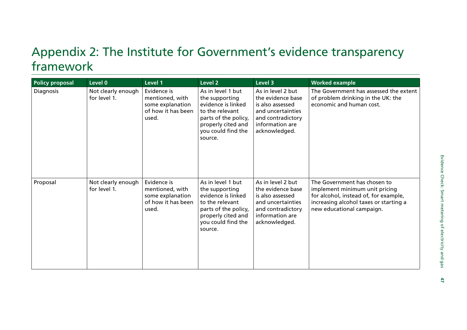## <span id="page-48-0"></span>Appendix 2: The Institute for Government's evidence transparency framework

| <b>Policy proposal</b> | Level 0                            | Level 1                                                                           | Level 2                                                                                                                                                     | Level 3                                                                                                                                  | <b>Worked example</b>                                                                                                                                                          |
|------------------------|------------------------------------|-----------------------------------------------------------------------------------|-------------------------------------------------------------------------------------------------------------------------------------------------------------|------------------------------------------------------------------------------------------------------------------------------------------|--------------------------------------------------------------------------------------------------------------------------------------------------------------------------------|
| Diagnosis              | Not clearly enough<br>for level 1. | Evidence is<br>mentioned, with<br>some explanation<br>of how it has been<br>used. | As in level 1 but<br>the supporting<br>evidence is linked<br>to the relevant<br>parts of the policy,<br>properly cited and<br>you could find the<br>source. | As in level 2 but<br>the evidence base<br>is also assessed<br>and uncertainties<br>and contradictory<br>information are<br>acknowledged. | The Government has assessed the extent<br>of problem drinking in the UK: the<br>economic and human cost.                                                                       |
| Proposal               | Not clearly enough<br>for level 1. | Evidence is<br>mentioned, with<br>some explanation<br>of how it has been<br>used. | As in level 1 but<br>the supporting<br>evidence is linked<br>to the relevant<br>parts of the policy,<br>properly cited and<br>you could find the<br>source. | As in level 2 but<br>the evidence base<br>is also assessed<br>and uncertainties<br>and contradictory<br>information are<br>acknowledged. | The Government has chosen to<br>implement minimum unit pricing<br>for alcohol, instead of, for example,<br>increasing alcohol taxes or starting a<br>new educational campaign. |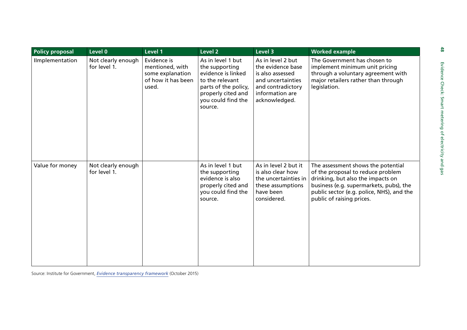| <b>Policy proposal</b> | Level 0                            | Level 1                                                                           | Level 2                                                                                                                                                     | Level 3                                                                                                                                  | <b>Worked example</b>                                                                                                                                                                                                             |
|------------------------|------------------------------------|-----------------------------------------------------------------------------------|-------------------------------------------------------------------------------------------------------------------------------------------------------------|------------------------------------------------------------------------------------------------------------------------------------------|-----------------------------------------------------------------------------------------------------------------------------------------------------------------------------------------------------------------------------------|
| IImplementation        | Not clearly enough<br>for level 1. | Evidence is<br>mentioned, with<br>some explanation<br>of how it has been<br>used. | As in level 1 but<br>the supporting<br>evidence is linked<br>to the relevant<br>parts of the policy,<br>properly cited and<br>you could find the<br>source. | As in level 2 but<br>the evidence base<br>is also assessed<br>and uncertainties<br>and contradictory<br>information are<br>acknowledged. | The Government has chosen to<br>implement minimum unit pricing<br>through a voluntary agreement with<br>major retailers rather than through<br>legislation.                                                                       |
| Value for money        | Not clearly enough<br>for level 1. |                                                                                   | As in level 1 but<br>the supporting<br>evidence is also<br>properly cited and<br>you could find the<br>source.                                              | As in level 2 but it<br>is also clear how<br>the uncertainties in<br>these assumptions<br>have been<br>considered.                       | The assessment shows the potential<br>of the proposal to reduce problem<br>drinking, but also the impacts on<br>business (e.g. supermarkets, pubs), the<br>public sector (e.g. police, NHS), and the<br>public of raising prices. |

Source: Institute for Government, *[Evidence transparency framework](http://www.instituteforgovernment.org.uk/sites/default/files/publications/4545%20IFG%20-%20Evidence%20Trans%20framework%20v6.pdf)* (October 2015)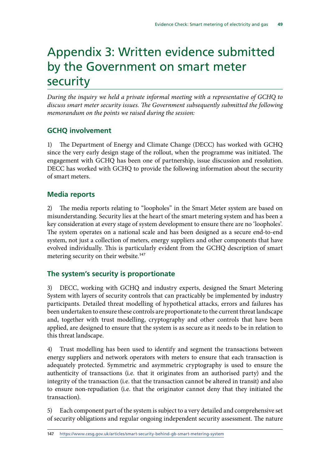## <span id="page-50-0"></span>Appendix 3: Written evidence submitted by the Government on smart meter security

*During the inquiry we held a private informal meeting with a representative of GCHQ to discuss smart meter security issues. The Government subsequently submitted the following memorandum on the points we raised during the session:*

### **GCHQ involvement**

1) The Department of Energy and Climate Change (DECC) has worked with GCHQ since the very early design stage of the rollout, when the programme was initiated. The engagement with GCHQ has been one of partnership, issue discussion and resolution. DECC has worked with GCHQ to provide the following information about the security of smart meters.

### **Media reports**

2) The media reports relating to "loopholes" in the Smart Meter system are based on misunderstanding. Security lies at the heart of the smart metering system and has been a key consideration at every stage of system development to ensure there are no 'loopholes'. The system operates on a national scale and has been designed as a secure end-to-end system, not just a collection of meters, energy suppliers and other components that have evolved individually. This is particularly evident from the GCHQ description of smart metering security on their website.<sup>147</sup>

### **The system's security is proportionate**

3) DECC, working with GCHQ and industry experts, designed the Smart Metering System with layers of security controls that can practicably be implemented by industry participants. Detailed threat modelling of hypothetical attacks, errors and failures has been undertaken to ensure these controls are proportionate to the current threat landscape and, together with trust modelling, cryptography and other controls that have been applied, are designed to ensure that the system is as secure as it needs to be in relation to this threat landscape.

4) Trust modelling has been used to identify and segment the transactions between energy suppliers and network operators with meters to ensure that each transaction is adequately protected. Symmetric and asymmetric cryptography is used to ensure the authenticity of transactions (i.e. that it originates from an authorised party) and the integrity of the transaction (i.e. that the transaction cannot be altered in transit) and also to ensure non-repudiation (i.e. that the originator cannot deny that they initiated the transaction).

5) Each component part of the system is subject to a very detailed and comprehensive set of security obligations and regular ongoing independent security assessment. The nature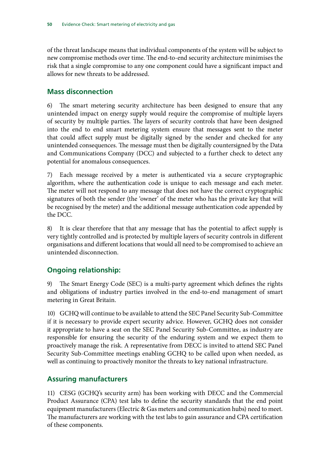of the threat landscape means that individual components of the system will be subject to new compromise methods over time. The end-to-end security architecture minimises the risk that a single compromise to any one component could have a significant impact and allows for new threats to be addressed.

#### **Mass disconnection**

6) The smart metering security architecture has been designed to ensure that any unintended impact on energy supply would require the compromise of multiple layers of security by multiple parties. The layers of security controls that have been designed into the end to end smart metering system ensure that messages sent to the meter that could affect supply must be digitally signed by the sender and checked for any unintended consequences. The message must then be digitally countersigned by the Data and Communications Company (DCC) and subjected to a further check to detect any potential for anomalous consequences.

7) Each message received by a meter is authenticated via a secure cryptographic algorithm, where the authentication code is unique to each message and each meter. The meter will not respond to any message that does not have the correct cryptographic signatures of both the sender (the 'owner' of the meter who has the private key that will be recognised by the meter) and the additional message authentication code appended by the DCC.

8) It is clear therefore that that any message that has the potential to affect supply is very tightly controlled and is protected by multiple layers of security controls in different organisations and different locations that would all need to be compromised to achieve an unintended disconnection.

### **Ongoing relationship:**

9) The Smart Energy Code (SEC) is a multi-party agreement which defines the rights and obligations of industry parties involved in the end-to-end management of smart metering in Great Britain.

10) GCHQ will continue to be available to attend the SEC Panel Security Sub-Committee if it is necessary to provide expert security advice. However, GCHQ does not consider it appropriate to have a seat on the SEC Panel Security Sub-Committee, as industry are responsible for ensuring the security of the enduring system and we expect them to proactively manage the risk. A representative from DECC is invited to attend SEC Panel Security Sub-Committee meetings enabling GCHQ to be called upon when needed, as well as continuing to proactively monitor the threats to key national infrastructure.

#### **Assuring manufacturers**

11) CESG (GCHQ's security arm) has been working with DECC and the Commercial Product Assurance (CPA) test labs to define the security standards that the end point equipment manufacturers (Electric & Gas meters and communication hubs) need to meet. The manufacturers are working with the test labs to gain assurance and CPA certification of these components.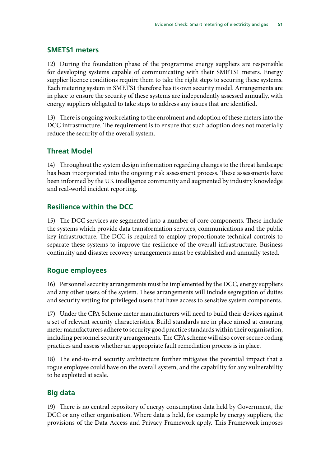#### **SMETS1 meters**

12) During the foundation phase of the programme energy suppliers are responsible for developing systems capable of communicating with their SMETS1 meters. Energy supplier licence conditions require them to take the right steps to securing these systems. Each metering system in SMETS1 therefore has its own security model. Arrangements are in place to ensure the security of these systems are independently assessed annually, with energy suppliers obligated to take steps to address any issues that are identified.

13) There is ongoing work relating to the enrolment and adoption of these meters into the DCC infrastructure. The requirement is to ensure that such adoption does not materially reduce the security of the overall system.

#### **Threat Model**

14) Throughout the system design information regarding changes to the threat landscape has been incorporated into the ongoing risk assessment process. These assessments have been informed by the UK intelligence community and augmented by industry knowledge and real-world incident reporting.

#### **Resilience within the DCC**

15) The DCC services are segmented into a number of core components. These include the systems which provide data transformation services, communications and the public key infrastructure. The DCC is required to employ proportionate technical controls to separate these systems to improve the resilience of the overall infrastructure. Business continuity and disaster recovery arrangements must be established and annually tested.

#### **Rogue employees**

16) Personnel security arrangements must be implemented by the DCC, energy suppliers and any other users of the system. These arrangements will include segregation of duties and security vetting for privileged users that have access to sensitive system components.

17) Under the CPA Scheme meter manufacturers will need to build their devices against a set of relevant security characteristics. Build standards are in place aimed at ensuring meter manufacturers adhere to security good practice standards within their organisation, including personnel security arrangements. The CPA scheme will also cover secure coding practices and assess whether an appropriate fault remediation process is in place.

18) The end-to-end security architecture further mitigates the potential impact that a rogue employee could have on the overall system, and the capability for any vulnerability to be exploited at scale.

#### **Big data**

19) There is no central repository of energy consumption data held by Government, the DCC or any other organisation. Where data is held, for example by energy suppliers, the provisions of the Data Access and Privacy Framework apply. This Framework imposes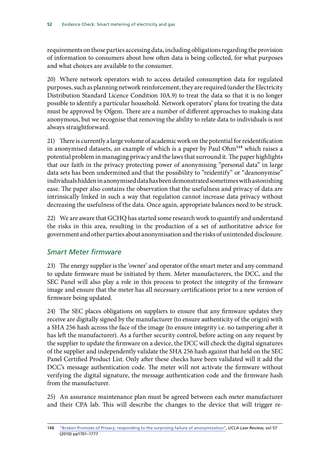requirements on those parties accessing data, including obligations regarding the provision of information to consumers about how often data is being collected, for what purposes and what choices are available to the consumer.

20) Where network operators wish to access detailed consumption data for regulated purposes, such as planning network reinforcement, they are required (under the Electricity Distribution Standard Licence Condition 10A.9) to treat the data so that it is no longer possible to identify a particular household. Network operators' plans for treating the data must be approved by Ofgem. There are a number of different approaches to making data anonymous, but we recognise that removing the ability to relate data to individuals is not always straightforward.

21) There is currently a large volume of academic work on the potential for reidentification in anonymised datasets, an example of which is a paper by Paul Ohm<sup>148</sup> which raises a potential problem in managing privacy and the laws that surround it. The paper highlights that our faith in the privacy protecting power of anonymising "personal data" in large data sets has been undermined and that the possibility to "reidentify" or "deanonymise" individuals hidden in anonymised data has been demonstrated sometimes with astonishing ease. The paper also contains the observation that the usefulness and privacy of data are intrinsically linked in such a way that regulation cannot increase data privacy without decreasing the usefulness of the data. Once again, appropriate balances need to be struck.

22) We are aware that GCHQ has started some research work to quantify and understand the risks in this area, resulting in the production of a set of authoritative advice for government and other parties about anonymisation and the risks of unintended disclosure.

#### *Smart Meter firmware*

23) The energy supplier is the 'owner' and operator of the smart meter and any command to update firmware must be initiated by them. Meter manufacturers, the DCC, and the SEC Panel will also play a role in this process to protect the integrity of the firmware image and ensure that the meter has all necessary certifications prior to a new version of firmware being updated.

24) The SEC places obligations on suppliers to ensure that any firmware updates they receive are digitally signed by the manufacturer (to ensure authenticity of the origin) with a SHA 256 hash across the face of the image (to ensure integrity i.e. no tampering after it has left the manufacturer). As a further security control, before acting on any request by the supplier to update the firmware on a device, the DCC will check the digital signatures of the supplier and independently validate the SHA 256 hash against that held on the SEC Panel Certified Product List. Only after these checks have been validated will it add the DCC's message authentication code. The meter will not activate the firmware without verifying the digital signature, the message authentication code and the firmware hash from the manufacturer.

25) An assurance maintenance plan must be agreed between each meter manufacturer and their CPA lab. This will describe the changes to the device that will trigger re-

<sup>148</sup> ["Broken Promises of Privacy: responding to the surprising failure of anonymization"](http://www.uclalawreview.org/pdf/57-6-3.pdf), *UCLA Law Review*, vol 57 (2010) pp1701–1777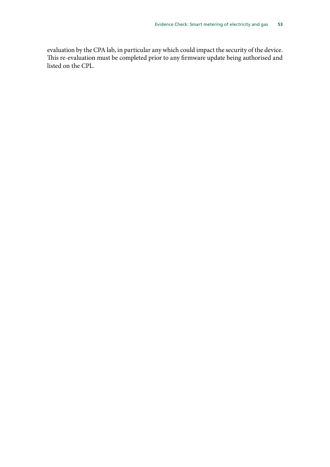evaluation by the CPA lab, in particular any which could impact the security of the device. This re-evaluation must be completed prior to any firmware update being authorised and listed on the CPL.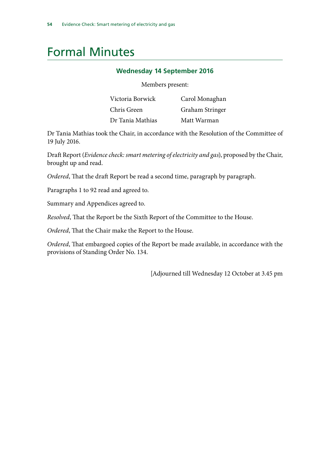### <span id="page-55-0"></span>Formal Minutes

#### **Wednesday 14 September 2016**

Members present:

| Victoria Borwick | Carol Monaghan  |
|------------------|-----------------|
| Chris Green      | Graham Stringer |
| Dr Tania Mathias | Matt Warman     |

Dr Tania Mathias took the Chair, in accordance with the Resolution of the Committee of 19 July 2016.

Draft Report (*Evidence check: smart metering of electricity and gas*), proposed by the Chair, brought up and read.

*Ordered*, That the draft Report be read a second time, paragraph by paragraph.

Paragraphs 1 to 92 read and agreed to.

Summary and Appendices agreed to.

*Resolved*, That the Report be the Sixth Report of the Committee to the House.

*Ordered*, That the Chair make the Report to the House.

*Ordered*, That embargoed copies of the Report be made available, in accordance with the provisions of Standing Order No. 134.

[Adjourned till Wednesday 12 October at 3.45 pm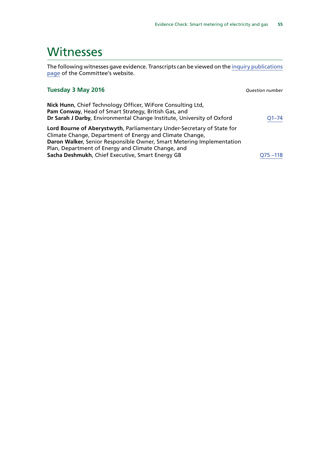### <span id="page-56-0"></span>**Witnesses**

The following witnesses gave evidence. Transcripts can be viewed on the [inquiry publications](http://www.parliament.uk/business/committees/committees-a-z/commons-select/science-and-technology-committee/inquiries/parliament-2015/smart-meters-inquiry-15-16/publications/) [page](http://www.parliament.uk/business/committees/committees-a-z/commons-select/science-and-technology-committee/inquiries/parliament-2015/smart-meters-inquiry-15-16/publications/) of the Committee's website.

| Tuesday 3 May 2016                                                                                                                                                                                                                                                                                                    | <b>Question number</b> |
|-----------------------------------------------------------------------------------------------------------------------------------------------------------------------------------------------------------------------------------------------------------------------------------------------------------------------|------------------------|
| Nick Hunn, Chief Technology Officer, WiFore Consulting Ltd,<br>Pam Conway, Head of Smart Strategy, British Gas, and<br>Dr Sarah J Darby, Environmental Change Institute, University of Oxford                                                                                                                         | $O1 - 74$              |
| Lord Bourne of Aberystwyth, Parliamentary Under-Secretary of State for<br>Climate Change, Department of Energy and Climate Change,<br>Daron Walker, Senior Responsible Owner, Smart Metering Implementation<br>Plan, Department of Energy and Climate Change, and<br>Sacha Deshmukh, Chief Executive, Smart Energy GB | $Q75 - 118$            |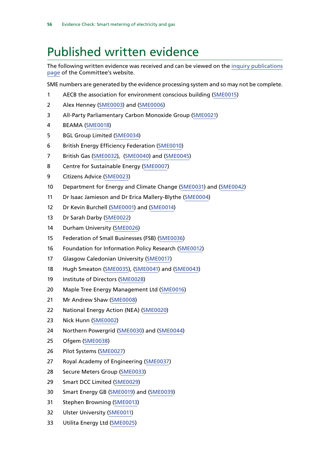## <span id="page-57-0"></span>Published written evidence

The following written evidence was received and can be viewed on the [inquiry publications](http://www.parliament.uk/business/committees/committees-a-z/commons-select/science-and-technology-committee/inquiries/parliament-2015/smart-meters-inquiry-15-16/publications/) [page](http://www.parliament.uk/business/committees/committees-a-z/commons-select/science-and-technology-committee/inquiries/parliament-2015/smart-meters-inquiry-15-16/publications/) of the Committee's website.

SME numbers are generated by the evidence processing system and so may not be complete.

- AECB the association for environment conscious building [\(SME0015](http://data.parliament.uk/WrittenEvidence/CommitteeEvidence.svc/EvidenceDocument/Science%20and%20Technology/Smart%20meters/written/31979.html))
- Alex Henney ([SME0003](http://data.parliament.uk/WrittenEvidence/CommitteeEvidence.svc/EvidenceDocument/Science%20and%20Technology/Smart%20meters/written/30839.html)) and [\(SME0006\)](http://data.parliament.uk/WrittenEvidence/CommitteeEvidence.svc/EvidenceDocument/Science%20and%20Technology/Smart%20meters/written/30936.html)
- All-Party Parliamentary Carbon Monoxide Group [\(SME0021](http://data.parliament.uk/WrittenEvidence/CommitteeEvidence.svc/EvidenceDocument/Science%20and%20Technology/Smart%20meters/written/32023.html))
- BEAMA [\(SME0018](http://data.parliament.uk/WrittenEvidence/CommitteeEvidence.svc/EvidenceDocument/Science%20and%20Technology/Smart%20meters/written/32016.html))
- BGL Group Limited [\(SME0034\)](http://data.parliament.uk/WrittenEvidence/CommitteeEvidence.svc/EvidenceDocument/Science%20and%20Technology/Smart%20meters/written/32168.html)
- British Energy Efficiency Federation ([SME0010\)](http://data.parliament.uk/WrittenEvidence/CommitteeEvidence.svc/EvidenceDocument/Science%20and%20Technology/Smart%20meters/written/31675.html)
- British Gas [\(SME0032\)](http://data.parliament.uk/WrittenEvidence/CommitteeEvidence.svc/EvidenceDocument/Science%20and%20Technology/Smart%20meters/written/32146.html), ([SME0040\)](http://data.parliament.uk/WrittenEvidence/CommitteeEvidence.svc/EvidenceDocument/Science%20and%20Technology/Smart%20meters/written/33677.html) and ([SME0045\)](http://data.parliament.uk/writtenevidence/committeeevidence.svc/evidencedocument/science-and-technology-committee/smart-meters/written/37835.html)
- Centre for Sustainable Energy [\(SME0007](http://data.parliament.uk/WrittenEvidence/CommitteeEvidence.svc/EvidenceDocument/Science%20and%20Technology/Smart%20meters/written/31489.html))
- Citizens Advice [\(SME0023\)](http://data.parliament.uk/WrittenEvidence/CommitteeEvidence.svc/EvidenceDocument/Science%20and%20Technology/Smart%20meters/written/32032.html)
- Department for Energy and Climate Change [\(SME0031\)](http://data.parliament.uk/WrittenEvidence/CommitteeEvidence.svc/EvidenceDocument/Science%20and%20Technology/Smart%20meters/written/32093.html) and ([SME0042\)](http://data.parliament.uk/WrittenEvidence/CommitteeEvidence.svc/EvidenceDocument/Science%20and%20Technology/Smart%20meters/written/34284.html)
- Dr Isaac Jamieson and Dr Erica Mallery-Blythe [\(SME0004](http://data.parliament.uk/WrittenEvidence/CommitteeEvidence.svc/EvidenceDocument/Science%20and%20Technology/Smart%20meters/written/30841.html))
- 12 Dr Kevin Burchell ([SME0001\)](http://data.parliament.uk/WrittenEvidence/CommitteeEvidence.svc/EvidenceDocument/Science%20and%20Technology/Smart%20meters/written/30835.html) and ([SME0014\)](http://data.parliament.uk/WrittenEvidence/CommitteeEvidence.svc/EvidenceDocument/Science%20and%20Technology/Smart%20meters/written/31913.html)
- Dr Sarah Darby [\(SME0022\)](http://data.parliament.uk/WrittenEvidence/CommitteeEvidence.svc/EvidenceDocument/Science%20and%20Technology/Smart%20meters/written/32026.html)
- Durham University ([SME0026](http://data.parliament.uk/WrittenEvidence/CommitteeEvidence.svc/EvidenceDocument/Science%20and%20Technology/Smart%20meters/written/32049.html))
- Federation of Small Businesses (FSB) [\(SME0036](http://data.parliament.uk/WrittenEvidence/CommitteeEvidence.svc/EvidenceDocument/Science%20and%20Technology/Smart%20meters/written/32273.html))
- Foundation for Information Policy Research [\(SME0012\)](http://data.parliament.uk/WrittenEvidence/CommitteeEvidence.svc/EvidenceDocument/Science%20and%20Technology/Smart%20meters/written/31786.html)
- Glasgow Caledonian University [\(SME0017\)](http://data.parliament.uk/WrittenEvidence/CommitteeEvidence.svc/EvidenceDocument/Science%20and%20Technology/Smart%20meters/written/32013.html)
- Hugh Smeaton [\(SME0035\)](http://data.parliament.uk/WrittenEvidence/CommitteeEvidence.svc/EvidenceDocument/Science%20and%20Technology/Smart%20meters/written/32191.html), ([SME0041\)](http://data.parliament.uk/WrittenEvidence/CommitteeEvidence.svc/EvidenceDocument/Science%20and%20Technology/Smart%20meters/written/33972.html) and ([SME0043](http://data.parliament.uk/WrittenEvidence/CommitteeEvidence.svc/EvidenceDocument/Science%20and%20Technology/Smart%20meters/written/35062.html))
- 19 Institute of Directors [\(SME0028\)](http://data.parliament.uk/WrittenEvidence/CommitteeEvidence.svc/EvidenceDocument/Science%20and%20Technology/Smart%20meters/written/32057.html)
- Maple Tree Energy Management Ltd ([SME0016\)](http://data.parliament.uk/WrittenEvidence/CommitteeEvidence.svc/EvidenceDocument/Science%20and%20Technology/Smart%20meters/written/32010.html)
- Mr Andrew Shaw ([SME0008\)](http://data.parliament.uk/WrittenEvidence/CommitteeEvidence.svc/EvidenceDocument/Science%20and%20Technology/Smart%20meters/written/31651.html)
- National Energy Action (NEA) [\(SME0020\)](http://data.parliament.uk/WrittenEvidence/CommitteeEvidence.svc/EvidenceDocument/Science%20and%20Technology/Smart%20meters/written/32021.html)
- Nick Hunn ([SME0002\)](http://data.parliament.uk/WrittenEvidence/CommitteeEvidence.svc/EvidenceDocument/Science%20and%20Technology/Smart%20meters/written/30836.html)
- Northern Powergrid [\(SME0030\)](http://data.parliament.uk/WrittenEvidence/CommitteeEvidence.svc/EvidenceDocument/Science%20and%20Technology/Smart%20meters/written/32069.html) and ([SME0044\)](http://data.parliament.uk/writtenevidence/committeeevidence.svc/evidencedocument/science-and-technology-committee/smart-meters/written/36465.html)
- Ofgem [\(SME0038\)](http://data.parliament.uk/WrittenEvidence/CommitteeEvidence.svc/EvidenceDocument/Science%20and%20Technology/Smart%20meters/written/32375.html)
- Pilot Systems ([SME0027](http://data.parliament.uk/WrittenEvidence/CommitteeEvidence.svc/EvidenceDocument/Science%20and%20Technology/Smart%20meters/written/32053.html))
- Royal Academy of Engineering [\(SME0037](http://data.parliament.uk/WrittenEvidence/CommitteeEvidence.svc/EvidenceDocument/Science%20and%20Technology/Smart%20meters/written/32315.html))
- Secure Meters Group [\(SME0033](http://data.parliament.uk/WrittenEvidence/CommitteeEvidence.svc/EvidenceDocument/Science%20and%20Technology/Smart%20meters/written/32160.html))
- Smart DCC Limited [\(SME0029\)](http://data.parliament.uk/WrittenEvidence/CommitteeEvidence.svc/EvidenceDocument/Science%20and%20Technology/Smart%20meters/written/32065.html)
- Smart Energy GB [\(SME0019](http://data.parliament.uk/WrittenEvidence/CommitteeEvidence.svc/EvidenceDocument/Science%20and%20Technology/Smart%20meters/written/32020.html)) and [\(SME0039\)](http://data.parliament.uk/WrittenEvidence/CommitteeEvidence.svc/EvidenceDocument/Science%20and%20Technology/Smart%20meters/written/33369.html)
- Stephen Browning [\(SME0013\)](http://data.parliament.uk/WrittenEvidence/CommitteeEvidence.svc/EvidenceDocument/Science%20and%20Technology/Smart%20meters/written/31855.html)
- Ulster University [\(SME0011](http://data.parliament.uk/WrittenEvidence/CommitteeEvidence.svc/EvidenceDocument/Science%20and%20Technology/Smart%20meters/written/31710.html))
- Utilita Energy Ltd [\(SME0025\)](http://data.parliament.uk/WrittenEvidence/CommitteeEvidence.svc/EvidenceDocument/Science%20and%20Technology/Smart%20meters/written/32034.html)